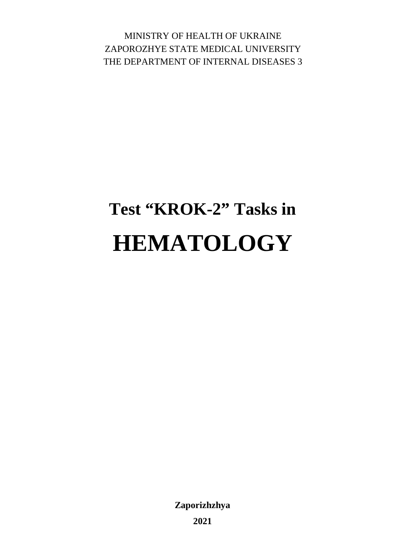MINISTRY OF HEALTH OF UKRAINE ZAPOROZHYE STATE MEDICAL UNIVERSITY THE DEPARTMENT OF INTERNAL DISEASES 3

# **Test "KROK-2" Tasks in HEMATOLOGY**

**Zaporizhzhya** 

**2021**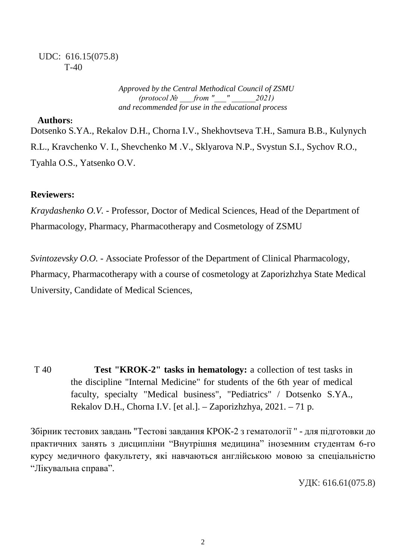#### UDC: 616.15(075.8) Т-40

*Approved by the Central Methodical Council of ZSMU*  $(\text{protocol N} \geq \text{from "} \geq \text{021})$ *and recommended for use in the educational process*

#### **Authors:**

Dotsenko S.YA., Rekalov D.H., Chorna I.V., Shekhovtseva T.H., Samura B.B., Kulynych R.L., Kravchenko V. I., Shevchenko M .V., Sklyarova N.P., Svystun S.I., Sychov R.O., Tyahla O.S., Yatsenko O.V.

#### **Reviewers:**

*Kraydashenko O.V.* - Professor, Doctor of Medical Sciences, Head of the Department of Pharmacology, Pharmacy, Pharmacotherapy and Cosmetology of ZSMU

*Svintozevsky O.O.* - Associate Professor of the Department of Clinical Pharmacology, Pharmacy, Pharmacotherapy with a course of cosmetology at Zaporizhzhya State Medical University, Candidate of Medical Sciences,

T 40 **Test "KROK-2" tasks in hematology:** a collection of test tasks in the discipline "Internal Medicine" for students of the 6th year of medical faculty, specialty "Medical business", "Pediatrics" / Dotsenko S.YA., Rekalov D.H., Chorna I.V. [et al.]. – Zaporizhzhya, 2021. – 71 p.

Збірник тестових завдань "Тестові завдання КРОК-2 з гематології " - для підготовки до практичних занять з дисципліни "Внутрішня медицина" іноземним студентам 6-го курсу медичного факультету, які навчаються англійською мовою за спеціальністю "Лікувальна справа".

УДК: 616.61(075.8)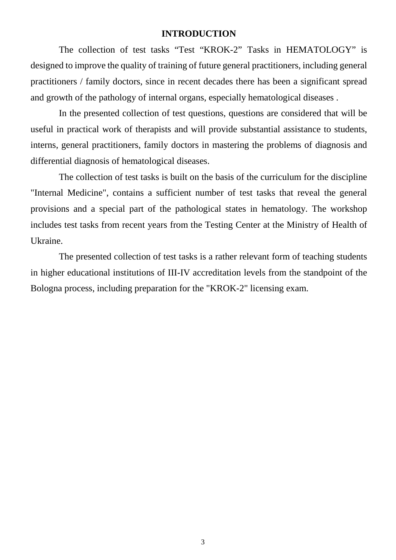#### **INTRODUCTION**

The collection of test tasks "Test "KROK-2" Tasks in HEMATOLOGY" is designed to improve the quality of training of future general practitioners, including general practitioners / family doctors, since in recent decades there has been a significant spread and growth of the pathology of internal organs, especially hematological diseases .

In the presented collection of test questions, questions are considered that will be useful in practical work of therapists and will provide substantial assistance to students, interns, general practitioners, family doctors in mastering the problems of diagnosis and differential diagnosis of hematological diseases.

The collection of test tasks is built on the basis of the curriculum for the discipline "Internal Medicine", contains a sufficient number of test tasks that reveal the general provisions and a special part of the pathological states in hematology. The workshop includes test tasks from recent years from the Testing Center at the Ministry of Health of Ukraine.

The presented collection of test tasks is a rather relevant form of teaching students in higher educational institutions of III-IV accreditation levels from the standpoint of the Bologna process, including preparation for the "KROK-2" licensing exam.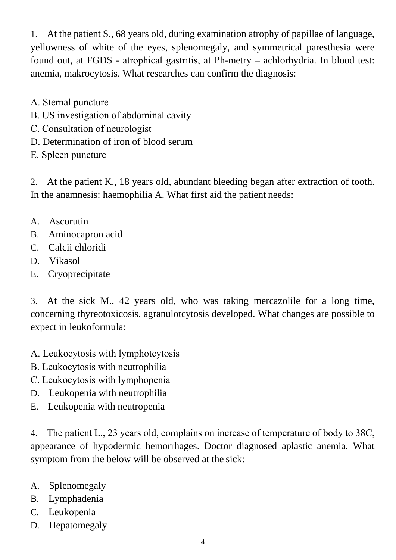1. At the patient S., 68 years old, during examination atrophy of papillae of language, yellowness of white of the eyes, splenomegaly, and symmetrical paresthesia were found out, at FGDS - atrophical gastritis, at Рh-metry – achlorhydria. In blood test: anemia, makrocytosis. What researches can confirm the diagnosis:

- А. Sternal puncture
- В. US investigation of abdominal cavity
- С. Consultation of neurologist
- D. Determination of iron of blood serum
- Е. Spleen puncture

2. At the patient K., 18 years old, abundant bleeding began after extraction of tooth. In the anamnesis: haemophilia A. What first aid the patient needs:

- A. Ascorutin
- B. Aminocapron acid
- C. Calcii chloridi
- D. Vikasol
- E. Cryoprecipitate

3. At the sick M., 42 years old, who was taking mercazolile for a long time, concerning thyreotoxicosis, agranulotcytosis developed. What changes are possible to expect in leukoformula:

- А. Leukocytosis with lymphotcytosis
- В. Leukocytosis with neutrophilia
- С. Leukocytosis with lymphopenia
- D. Leukopenia with neutrophilia
- E. Leukopenia with neutropenia

4. The patient L., 23 years old, complains on increase of temperature of body to 38С, appearance of hypodermic hemorrhages. Doctor diagnosed aplastic anemia. What symptom from the below will be observed at the sick:

- A. Splenomegaly
- B. Lymphadenia
- C. Leukopenia
- D. Hepatomegaly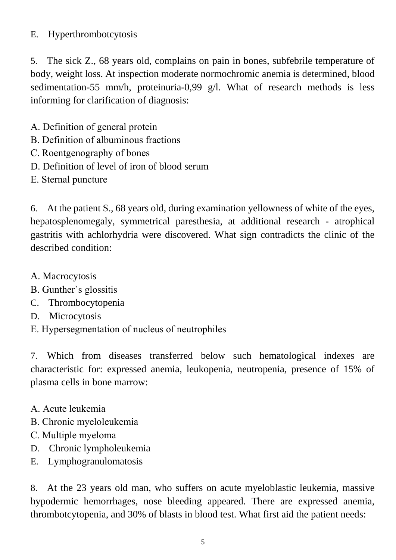#### E. Hyperthrombotcytosis

5. The sick Z., 68 years old, complains on pain in bones, subfebrile temperature of body, weight loss. At inspection moderate normochromic anemia is determined, blood sedimentation-55 mm/h, proteinuria-0,99 g/l. What of research methods is less informing for clarification of diagnosis:

- А. Definition of general protein
- В. Definition of albuminous fractions
- С. Roentgenography of bones
- D. Definition of level of iron of blood serum
- Е. Sternal puncture

6. At the patient S., 68 years old, during examination yellowness of white of the eyes, hepatosplenomegaly, symmetrical paresthesia, at additional research - atrophical gastritis with achlorhydria were discovered. What sign contradicts the clinic of the described condition:

- A. Macrocytosis
- В. Gunther`s glossitis
- C. Thrombocytopenia
- D. Microcytosis
- Е. Hypersegmentation of nucleus of neutrophiles

7. Which from diseases transferred below such hematological indexes are characteristic for: expressed anemia, leukopenia, neutropenia, presence of 15% of plasma cells in bone marrow:

- А. Acute leukemia
- В. Chronic myeloleukemia
- С. Multiple myeloma
- D. Chronic lympholeukemia
- E. Lymphogranulomatosis

8. At the 23 years old man, who suffers on acute myeloblastic leukemia, massive hypodermic hemorrhages, nose bleeding appeared. There are expressed anemia, thrombotcytopenia, and 30% of blasts in blood test. What first aid the patient needs: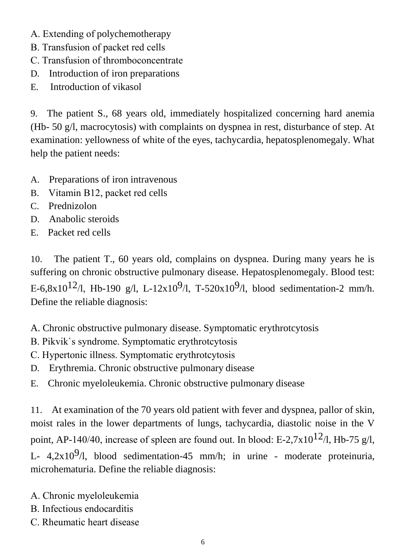- А. Extending of polychemotherapy
- В. Transfusion of packet red cells
- С. Transfusion of thromboconcentrate
- D. Introduction of iron preparations
- E. Introduction of vikasol

9. The patient S., 68 years old, immediately hospitalized concerning hard anemia (Hb- 50 g/l, macrocytosis) with complaints on dyspnea in rest, disturbance of step. At examination: yellowness of white of the eyes, tachycardia, hepatosplenomegaly. What help the patient needs:

- A. Preparations of iron intravenous
- B. Vitamin В12, packet red cells
- C. Prednizolon
- D. Anabolic steroids
- E. Packet red cells

10. The patient T., 60 years old, complains on dyspnea. During many years he is suffering on chronic obstructive pulmonary disease. Hepatosplenomegaly. Blood test: E-6,8x10<sup>12</sup>/l, Hb-190 g/l, L-12x10<sup>9</sup>/l, T-520x10<sup>9</sup>/l, blood sedimentation-2 mm/h. Define the reliable diagnosis:

A. Chronic obstructive pulmonary disease. Symptomatic erythrotcytosis

- В. Pikvik`s syndrome. Symptomatic erythrotcytosis
- С. Hypertonic illness. Symptomatic erythrotcytosis
- D. Erythremia. Chronic obstructive pulmonary disease
- E. Chronic myeloleukemia. Chronic obstructive pulmonary disease

11. At examination of the 70 years old patient with fever and dyspnea, pallor of skin, moist rales in the lower departments of lungs, tachycardia, diastolic noise in the V point, AP-140/40, increase of spleen are found out. In blood: E-2,7x10<sup>12</sup>/l, Hb-75 g/l, L-  $4,2x10<sup>9</sup>/l$ , blood sedimentation-45 mm/h; in urine - moderate proteinuria, microhematuria. Define the reliable diagnosis:

- А. Chronic myeloleukemia
- В. Infectious endocarditis
- С. Rheumatic heart disease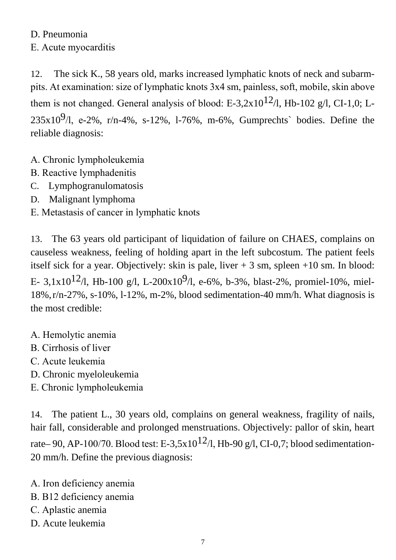D. Pneumonia Е. Acute myocarditis

12. The sick K., 58 years old, marks increased lymphatic knots of neck and subarmpits. At examination: size of lymphatic knots 3х4 sm, painless, soft, mobile, skin above them is not changed. General analysis of blood: E-3,2x10<sup>12</sup>/l, Hb-102 g/l, CI-1,0; L- $235x10^9$ /l, e-2%, r/n-4%, s-12%, 1-76%, m-6%, Gumprechts` bodies. Define the reliable diagnosis:

- А. Chronic lympholeukemia
- В. Reactive lymphadenitis
- C. Lymphogranulomatosis
- D. Malignant lymphoma
- Е. Metastasis of cancer in lymphatic knots

13. The 63 years old participant of liquidation of failure on CHAES, complains on causeless weakness, feeling of holding apart in the left subcostum. The patient feels itself sick for a year. Objectively: skin is pale, liver  $+3$  sm, spleen  $+10$  sm. In blood: Е- 3,1x10<sup>12</sup>/l, Hb-100 g/l, L-200x10<sup>9</sup>/l, e-6%, b-3%, blast-2%, promiel-10%, miel-18%,r/n-27%, s-10%, l-12%, m-2%, blood sedimentation-40 mm/h. What diagnosis is the most credible:

- А. Hemolytic anemia
- В. Cirrhosis of liver
- С. Acute leukemia
- D. Chronic myeloleukemia
- Е. Chronic lympholeukemia

14. The patient L., 30 years old, complains on general weakness, fragility of nails, hair fall, considerable and prolonged menstruations. Objectively: pallor of skin, heart rate– 90, AP-100/70. Blood test: E-3,5x10<sup>12</sup>/l, Hb-90 g/l, CI-0,7; blood sedimentation-20 mm/h. Define the previous diagnosis:

А. Iron deficiency anemia

- B. В12 deficiency anemia
- С. Aplastic anemia
- D. Acute leukemia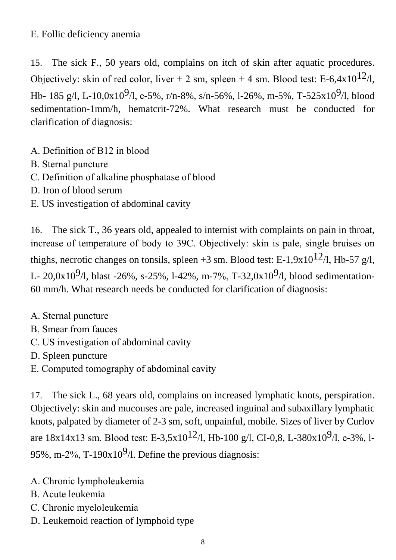Е. Follic deficiency anemia

15. The sick F., 50 years old, complains on itch of skin after aquatic procedures. Objectively: skin of red color, liver + 2 sm, spleen + 4 sm. Blood test: E-6,4x10<sup>12</sup>/l, Hb- 185 g/l, L-10,0x10<sup>9</sup>/l, e-5%, r/n-8%, s/n-56%, l-26%, m-5%, T-525x10<sup>9</sup>/l, blood sedimentation-1mm/h, hematcrit-72%. What research must be conducted for clarification of diagnosis:

- А. Definition of В12 in blood
- В. Sternal puncture
- С. Definition of alkaline phosphatase of blood
- D. Iron of blood serum
- Е. US investigation of abdominal cavity

16. The sick T., 36 years old, appealed to internist with complaints on pain in throat, increase of temperature of body to 39С. Objectively: skin is pale, single bruises on thighs, necrotic changes on tonsils, spleen +3 sm. Blood test: E-1,9x10<sup>12</sup>/l, Hb-57 g/l, L- 20,0x10<sup>9</sup>/l, blast -26%, s-25%, l-42%, m-7%, T-32,0x10<sup>9</sup>/l, blood sedimentation-60 mm/h. What research needs be conducted for clarification of diagnosis:

- А. Sternal puncture
- В. Smear from fauces
- С. US investigation of abdominal cavity
- D. Spleen puncture
- Е. Computed tomography of abdominal cavity

17. The sick L., 68 years old, complains on increased lymphatic knots, perspiration. Objectively: skin and mucouses are pale, increased inguinal and subaxillary lymphatic knots, palpated by diameter of 2-3 sm, soft, unpainful, mobile. Sizes of liver by Curlov are  $18x14x13$  sm. Blood test: E-3,5x10<sup>12</sup>/l, Hb-100 g/l, CI-0,8, L-380x10<sup>9</sup>/l, e-3%, l-95%, m-2%, T-190 $x10<sup>9</sup>/l$ . Define the previous diagnosis:

- А. Chronic lympholeukemia
- В. Acute leukemia
- С. Chronic myeloleukemia
- D. Leukemoid reaction of lymphoid type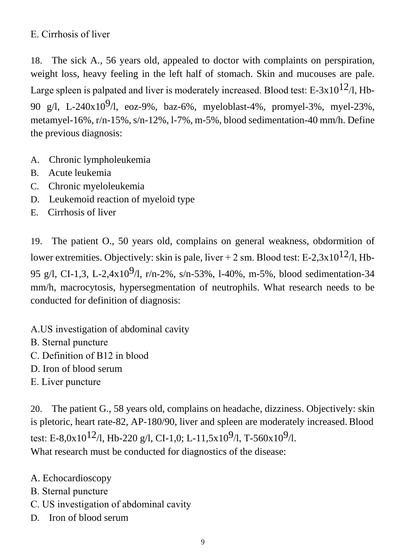## Е. Cirrhosis of liver

18. The sick A., 56 years old, appealed to doctor with complaints on perspiration, weight loss, heavy feeling in the left half of stomach. Skin and mucouses are pale. Large spleen is palpated and liver is moderately increased. Blood test: E-3x10<sup>12</sup>/l, Hb-90 g/l, L-240x10<sup>9</sup>/l, eoz-9%, baz-6%, myeloblast-4%, promyel-3%, myel-23%, metamyel-16%, r/n-15%, s/n-12%, l-7%, m-5%, blood sedimentation-40 mm/h. Define the previous diagnosis:

- A. Chronic lympholeukemia
- B. Acute leukemia
- C. Chronic myeloleukemia
- D. Leukemoid reaction of myeloid type
- E. Cirrhosis of liver

19. The patient O., 50 years old, complains on general weakness, obdormition of lower extremities. Objectively: skin is pale, liver + 2 sm. Blood test: E-2,3x10<sup>12</sup>/l, Hb-95 g/l, CI-1,3, L-2,4x10<sup>9</sup>/l, r/n-2%, s/n-53%, 1-40%, m-5%, blood sedimentation-34 mm/h, macrocytosis, hypersegmentation of neutrophils. What research needs to be conducted for definition of diagnosis:

А.US investigation of abdominal cavity

- В. Sternal puncture
- С. Definition of В12 in blood
- D. Iron of blood serum
- Е. Liver puncture

20. The patient G., 58 years old, complains on headache, dizziness. Objectively: skin is pletoric, heart rate-82, AP-180/90, liver and spleen are moderately increased.Blood test: E-8,0x10<sup>12</sup>/l, Hb-220 g/l, CI-1,0; L-11,5x10<sup>9</sup>/l, T-560x10<sup>9</sup>/l. What research must be conducted for diagnostics of the disease:

- A. Echocardioscopy
- В. Sternal puncture
- С. US investigation of abdominal cavity
- D. Iron of blood serum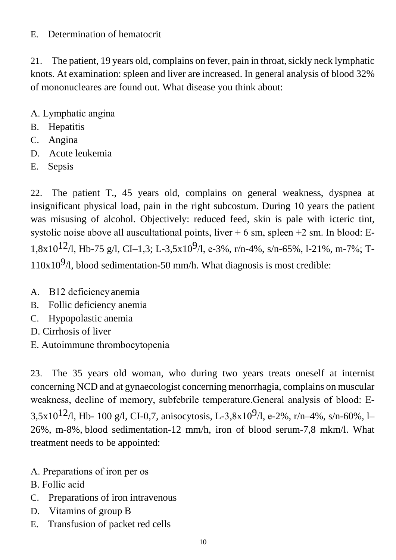#### E. Determination of hematocrit

21. The patient, 19 years old, complains on fever, pain in throat, sickly neck lymphatic knots. At examination: spleen and liver are increased. In general analysis of blood 32% of mononucleares are found out. What disease you think about:

- А. Lymphatic angina
- B. Hepatitis
- C. Angina
- D. Acute leukemia
- E. Sepsis

22. The patient T., 45 years old, complains on general weakness, dyspnea at insignificant physical load, pain in the right subcostum. During 10 years the patient was misusing of alcohol. Objectively: reduced feed, skin is pale with icteric tint, systolic noise above all auscultational points, liver  $+ 6$  sm, spleen  $+2$  sm. In blood: E-1,8x10<sup>12</sup>/l, Hb-75 g/l, CI-1,3; L-3,5x10<sup>9</sup>/l, e-3%, r/n-4%, s/n-65%, l-21%, m-7%; T- $110x10<sup>9</sup>/l$ , blood sedimentation-50 mm/h. What diagnosis is most credible:

- A. В12 deficiencyanemia
- B. Follic deficiency anemia
- C. Hypopolastic anemia
- D. Cirrhosis of liver
- Е. Autoimmune thrombocytopenia

23. The 35 years old woman, who during two years treats oneself at internist concerning NCD and at gynaecologist concerning menorrhagia, complains on muscular weakness, decline of memory, subfebrile temperature.General analysis of blood: Е-3,5x10<sup>12</sup>/l, Hb- 100 g/l, CI-0,7, anisocytosis, L-3,8x10<sup>9</sup>/l, e-2%, r/n-4%, s/n-60%, l-26%, m-8%, blood sedimentation-12 mm/h, iron of blood serum-7,8 mkm/l. What treatment needs to be appointed:

- А. Preparations of iron per os
- В. Follic acid
- C. Preparations of iron intravenous
- D. Vitamins of group B
- E. Transfusion of packet red cells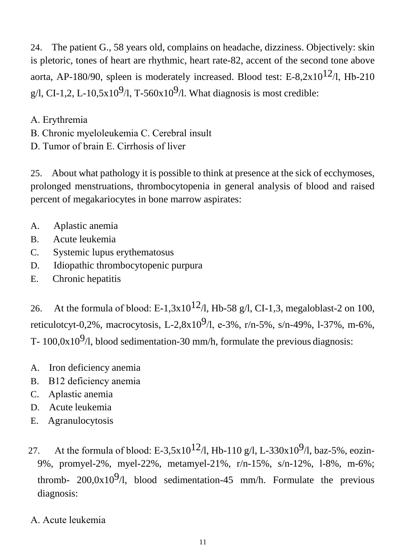24. The patient G., 58 years old, complains on headache, dizziness. Objectively: skin is pletoric, tones of heart are rhythmic, heart rate-82, accent of the second tone above aorta, AP-180/90, spleen is moderately increased. Blood test: E-8,2x10<sup>12</sup>/l, Hb-210 g/l, CI-1,2, L-10,5x10<sup>9</sup>/l, T-560x10<sup>9</sup>/l. What diagnosis is most credible:

- А. Erythremia
- В. Chronic myeloleukemia С. Cerebral insult
- D. Tumor of brain Е. Cirrhosis of liver

25. About what pathology it is possible to think at presence at the sick of ecchymoses, prolonged menstruations, thrombocytopenia in general analysis of blood and raised percent of megakariocytes in bone marrow aspirates:

- A. Aplastic anemia
- B. Acute leukemia
- C. Systemic lupus erythematosus
- D. Idiopathic thrombocytopenic purpura
- E. Chronic hepatitis

26. At the formula of blood: E-1,3x10<sup>12</sup>/l, Hb-58 g/l, CI-1,3, megaloblast-2 on 100, reticulotcyt-0,2%, macrocytosis, L-2,8x10<sup>9</sup>/l, e-3%, r/n-5%, s/n-49%, l-37%, m-6%, T-  $100.0x10<sup>9</sup>/l$ , blood sedimentation-30 mm/h, formulate the previous diagnosis:

- A. Iron deficiency anemia
- B. В12 deficiency anemia
- C. Aplаstic anemia
- D. Acute leukemia
- E. Agranulocytosis
- 27. At the formula of blood: E-3,5x10<sup>12</sup>/l, Hb-110 g/l, L-330x10<sup>9</sup>/l, baz-5%, eozin-9%, promyel-2%, myel-22%, metamyel-21%, r/n-15%, s/n-12%, l-8%, m-6%; thromb-  $200,0x10^9/1$ , blood sedimentation-45 mm/h. Formulate the previous diagnosis:
- А. Acute leukemia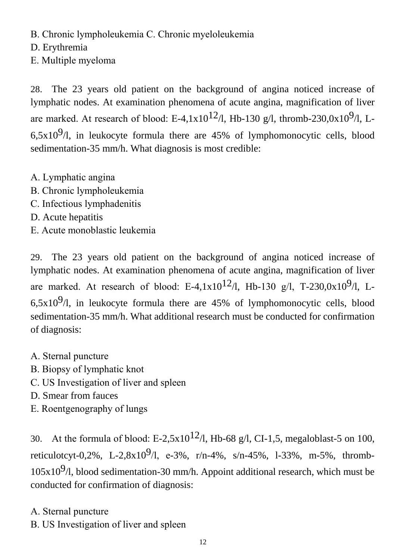В. Chronic lympholeukemia С. Chronic myeloleukemia

D. Erythremia

Е. Multiple myeloma

28. The 23 years old patient on the background of angina noticed increase of lymphatic nodes. At examination phenomena of acute angina, magnification of liver are marked. At research of blood: E-4,1x10<sup>12</sup>/l, Hb-130 g/l, thromb-230,0x10<sup>9</sup>/l, L-6,5x10 $9/1$ , in leukocyte formula there are 45% of lymphomonocytic cells, blood sedimentation-35 mm/h. What diagnosis is most credible:

- А. Lymphatic angina
- В. Chronic lympholeukemia
- С. Infectious lymphadenitis
- D. Acute hepatitis
- Е. Acute monoblastic leukemia

29. The 23 years old patient on the background of angina noticed increase of lymphatic nodes. At examination phenomena of acute angina, magnification of liver are marked. At research of blood: E-4,1x10<sup>12</sup>/l, Hb-130 g/l, T-230,0x10<sup>9</sup>/l, L-6,5x10 $9/1$ , in leukocyte formula there are 45% of lymphomonocytic cells, blood sedimentation-35 mm/h. What additional research must be conducted for confirmation of diagnosis:

- А. Sternal puncture
- В. Biopsy of lymphatic knot
- С. US Investigation of liver and spleen
- D. Smear from fauces
- Е. Roentgenography of lungs

30. At the formula of blood: E-2,5x10<sup>12</sup>/l, Hb-68 g/l, CI-1,5, megaloblast-5 on 100, reticulotcyt-0,2%, L-2,8x10<sup>9</sup>/l, e-3%, r/n-4%, s/n-45%, l-33%, m-5%, thromb- $105x10<sup>9</sup>/l$ , blood sedimentation-30 mm/h. Appoint additional research, which must be conducted for confirmation of diagnosis:

- А. Sternal puncture
- В. US Investigation of liver and spleen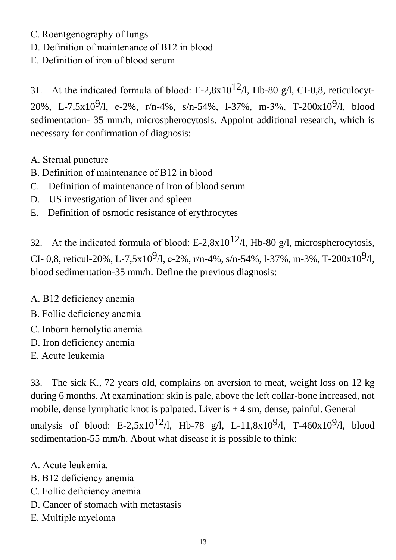- С. Roentgenography of lungs
- D. Definition of maintenance of В12 in blood
- Е. Definition of iron of blood serum

31. At the indicated formula of blood: E-2,8x10<sup>12</sup>/l, Hb-80 g/l, CI-0,8, reticulocyt-20%, L-7,5x10<sup>9</sup>/l, e-2%, r/n-4%, s/n-54%, l-37%, m-3%, T-200x10<sup>9</sup>/l, blood sedimentation- 35 mm/h, microspherocytosis. Appoint additional research, which is necessary for confirmation of diagnosis:

- А. Sternal puncture
- В. Definition of maintenance of В12 in blood
- C. Definition of maintenance of iron of blood serum
- D. US investigation of liver and spleen
- E. Definition of osmotic resistance of erythrocytes

32. At the indicated formula of blood: E-2,8x10<sup>12</sup>/l, Hb-80 g/l, microspherocytosis, CI- 0,8, reticul-20%, L-7,5x10<sup>9</sup>/l, e-2%, r/n-4%, s/n-54%, l-37%, m-3%, T-200x10<sup>9</sup>/l, blood sedimentation-35 mm/h. Define the previous diagnosis:

A. В12 deficiency anemia

- В. Follic deficiency anemia
- С. Inborn hemolytic anemia
- D. Iron deficiency anemia
- Е. Acute leukemia

33. The sick K., 72 years old, complains on aversion to meat, weight loss on 12 kg during 6 months. At examination: skin is pale, above the left collar-bone increased, not mobile, dense lymphatic knot is palpated. Liver is  $+4$  sm, dense, painful. General analysis of blood: E-2,5x10<sup>12</sup>/l, Hb-78 g/l, L-11,8x10<sup>9</sup>/l, T-460x10<sup>9</sup>/l, blood sedimentation-55 mm/h. About what disease it is possible to think:

- А. Acute leukemia.
- B. В12 deficiency anemia
- С. Follic deficiency anemia
- D. Cancer of stomach with metastasis
- Е. Multiple myeloma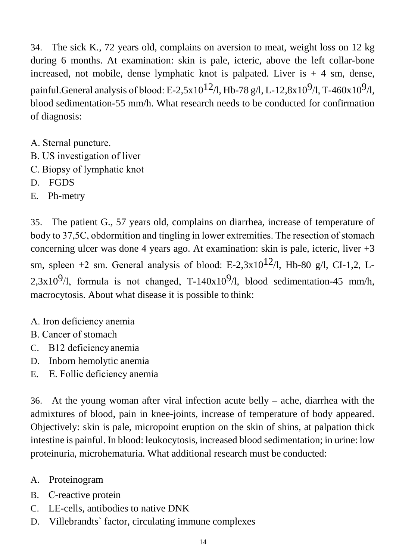34. The sick K., 72 years old, complains on aversion to meat, weight loss on 12 kg during 6 months. At examination: skin is pale, icteric, above the left collar-bone increased, not mobile, dense lymphatic knot is palpated. Liver is  $+4$  sm, dense, painful.General analysis of blood: E-2,5x10<sup>12</sup>/l, Hb-78 g/l, L-12,8x10<sup>9</sup>/l, T-460x10<sup>9</sup>/l, blood sedimentation-55 mm/h. What research needs to be conducted for confirmation of diagnosis:

- А. Sternal puncture.
- В. US investigation of liver
- С. Biopsy of lymphatic knot
- D. FGDS
- E. Ph-metry

35. The patient G., 57 years old, complains on diarrhea, increase of temperature of body to 37,5С, obdormition and tingling in lower extremities. The resection of stomach concerning ulcer was done 4 years ago. At examination: skin is pale, icteric, liver +3 sm, spleen +2 sm. General analysis of blood: E-2,3x10<sup>12</sup>/l, Hb-80 g/l, CI-1,2, L-2,3x10<sup>9</sup>/l, formula is not changed, T-140x10<sup>9</sup>/l, blood sedimentation-45 mm/h, macrocytosis. About what disease it is possible to think:

- А. Iron deficiency anemia
- В. Cancer of stomach
- C. В12 deficiencyanemia
- D. Inborn hemolytic anemia
- E. Е. Follic deficiency anemia

36. At the young woman after viral infection acute belly – ache, diarrhea with the admixtures of blood, pain in knee-joints, increase of temperature of body appeared. Objectively: skin is pale, micropoint eruption on the skin of shins, at palpation thick intestine is painful. In blood: leukocytosis, increased blood sedimentation; in urine: low proteinuria, microhematuria. What additional research must be conducted:

- A. Proteinogram
- B. С-reactive protein
- C. LЕ-cells, antibodies to native DNK
- D. Villebrandts` factor, circulating immune complexes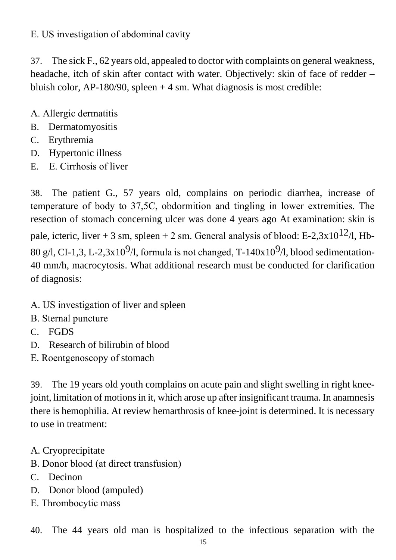#### Е. US investigation of abdominal cavity

37. The sick F., 62 years old, appealed to doctor with complaints on general weakness, headache, itch of skin after contact with water. Objectively: skin of face of redder – bluish color,  $AP-180/90$ , spleen  $+4$  sm. What diagnosis is most credible:

- А. Allergic dermatitis
- B. Dermatomyositis
- C. Erythremia
- D. Hypertonic illness
- E. Е. Cirrhosis of liver

38. The patient G., 57 years old, complains on periodic diarrhea, increase of temperature of body to 37,5С, obdormition and tingling in lower extremities. The resection of stomach concerning ulcer was done 4 years ago At examination: skin is pale, icteric, liver + 3 sm, spleen + 2 sm. General analysis of blood: E-2,3x10<sup>12</sup>/l, Hb-80 g/l, CI-1,3, L-2,3x10<sup>9</sup>/l, formula is not changed, T-140x10<sup>9</sup>/l, blood sedimentation-40 mm/h, macrocytosis. What additional research must be conducted for clarification of diagnosis:

- А. US investigation of liver and spleen
- В. Sternal puncture
- C. FGDS
- D. Research of bilirubin of blood
- Е. Roentgenoscopy of stomach

39. The 19 years old youth complains on acute pain and slight swelling in right kneejoint, limitation of motions in it, which arose up after insignificant trauma. In anamnesis there is hemophilia. At review hemarthrosis of knee-joint is determined. It is necessary to use in treatment:

- A. Cryoprecipitate
- В. Donor blood (at direct transfusion)
- C. Decinon
- D. Donor blood (ampuled)
- Е. Thrombocytic mass

40. The 44 years old man is hospitalized to the infectious separation with the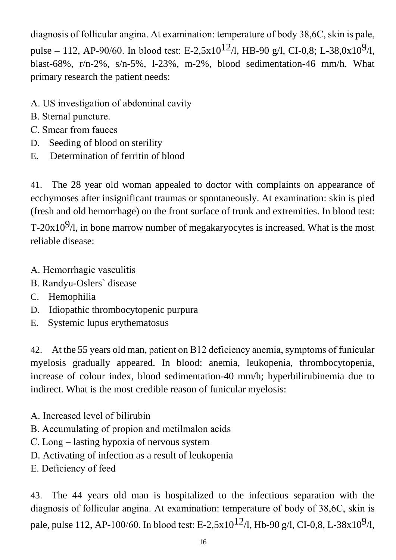diagnosis of follicular angina. At examination: temperature of body 38,6С, skin is pale, pulse – 112, AP-90/60. In blood test: E-2,5x10<sup>12</sup>/l, HB-90 g/l, CI-0,8; L-38,0x10<sup>9</sup>/l, blast-68%, r/n-2%, s/n-5%, l-23%, m-2%, blood sedimentation-46 mm/h. What primary research the patient needs:

- А. US investigation of abdominal cavity
- В. Sternal puncture.
- С. Smear from fauces
- D. Seeding of blood on sterility
- E. Determination of ferritin of blood

41. The 28 year old woman appealed to doctor with complaints on appearance of ecchymoses after insignificant traumas or spontaneously. At examination: skin is pied (fresh and old hemorrhage) on the front surface of trunk and extremities. In blood test: T-20x10 $9/$ l, in bone marrow number of megakaryocytes is increased. What is the most reliable disease:

- А. Hemorrhagic vasculitis
- В. Randyu-Oslers` disease
- C. Hemophilia
- D. Idiopathic thrombocytopenic purpura
- E. Systemic lupus erythematosus

42. At the 55 years old man, patient on В12 deficiency anemia, symptoms of funicular myelosis gradually appeared. In blood: anemia, leukopenia, thrombocytopenia, increase of colour index, blood sedimentation-40 mm/h; hyperbilirubinemia due to indirect. What is the most credible reason of funicular myelosis:

- А. Increased level of bilirubin
- В. Accumulating of propion and metilmalon acids
- С. Long lasting hypoxia of nervous system
- D. Activating of infection as a result of leukopenia
- Е. Deficiency of feed

43. The 44 years old man is hospitalized to the infectious separation with the diagnosis of follicular angina. At examination: temperature of body of 38,6С, skin is pale, pulse 112, AP-100/60. In blood test: E-2,5x10<sup>12</sup>/l, Hb-90 g/l, CI-0,8, L-38x10<sup>9</sup>/l,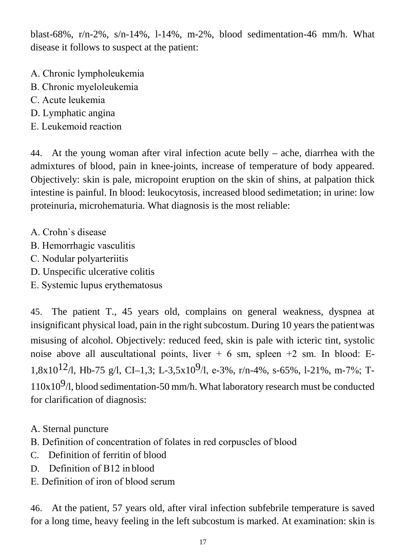blast-68%, r/n-2%, s/n-14%, l-14%, m-2%, blood sedimentation-46 mm/h. What disease it follows to suspect at the patient:

- А. Chronic lympholeukemia
- В. Chronic myeloleukemia
- С. Acute leukemia
- D. Lymphatic angina
- Е. Leukemoid reaction

44. At the young woman after viral infection acute belly – ache, diarrhea with the admixtures of blood, pain in knee-joints, increase of temperature of body appeared. Objectively: skin is pale, micropoint eruption on the skin of shins, at palpation thick intestine is painful. In blood: leukocytosis, increased blood sedimetation; in urine: low proteinuria, microhematuria. What diagnosis is the most reliable:

- А. Crohn`s disease
- В. Hemorrhagic vasculitis
- С. Nodular polyarteriitis
- D. Unspecific ulcerative colitis
- Е. Systemic lupus erythematosus

45. The patient T., 45 years old, complains on general weakness, dyspnea at insignificant physical load, pain in the right subcostum. During 10 years the patientwas misusing of alcohol. Objectively: reduced feed, skin is pale with icteric tint, systolic noise above all auscultational points, liver  $+ 6$  sm, spleen  $+2$  sm. In blood: E-1,8x10<sup>12</sup>/l, Hb-75 g/l, CI-1,3; L-3,5x10<sup>9</sup>/l, e-3%, r/n-4%, s-65%, l-21%, m-7%; T- $110x10<sup>9</sup>/l$ , blood sedimentation-50 mm/h. What laboratory research must be conducted for clarification of diagnosis:

- A. Sternal puncture
- В. Definition of concentration of folates in red corpuscles of blood
- C. Definition of ferritin of blood
- D. Definition of B12 in blood
- Е. Definition of iron of blood serum

46. At the patient, 57 years old, after viral infection subfebrile temperature is saved for a long time, heavy feeling in the left subcostum is marked. At examination: skin is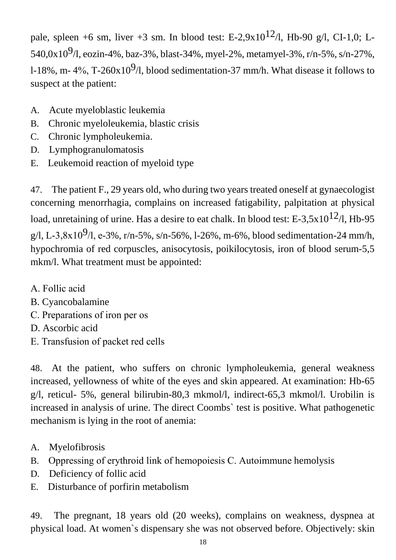pale, spleen +6 sm, liver +3 sm. In blood test: E-2,9x10<sup>12</sup>/l, Hb-90 g/l, CI-1,0; L-540,0x10<sup>9</sup>/l, eozin-4%, baz-3%, blast-34%, myel-2%, metamyel-3%, r/n-5%, s/n-27%, l-18%, m- 4%, T-260x10<sup>9</sup>/l, blood sedimentation-37 mm/h. What disease it follows to suspect at the patient:

- A. Acute myeloblastic leukemia
- B. Chronic myeloleukemia, blastic crisis
- C. Chronic lympholeukemia.
- D. Lymphogranulomatosis
- E. Leukemoid reaction of myeloid type

47. The patient F., 29 years old, who during two years treated oneself at gynaecologist concerning menorrhagia, complains on increased fatigability, palpitation at physical load, unretaining of urine. Has a desire to eat chalk. In blood test: E-3,5x10<sup>12</sup>/l, Hb-95 g/l, L-3,8x10<sup>9</sup>/l, e-3%, r/n-5%, s/n-56%, l-26%, m-6%, blood sedimentation-24 mm/h, hypochromia of red corpuscles, anisocytosis, poikilocytosis, iron of blood serum-5,5 mkm/l. What treatment must be appointed:

- А. Follic acid
- B. Cyancobalamine
- С. Preparations of iron per os
- D. Ascorbic acid
- Е. Transfusion of packet red cells

48. At the patient, who suffers on chronic lympholeukemia, general weakness increased, yellowness of white of the eyes and skin appeared. At examination: Hb-65 g/l, reticul- 5%, general bilirubin-80,3 mkmol/l, indirect-65,3 mkmol/l. Urobilin is increased in analysis of urine. The direct Coombs` test is positive. What pathogenetic mechanism is lying in the root of anemia:

- A. Myelofibrosis
- B. Oppressing of erythroid link of hemopoiesis С. Autoimmune hemolysis
- D. Deficiency of follic acid
- E. Disturbance of porfirin metabolism

49. The pregnant, 18 years old (20 weeks), complains on weakness, dyspnea at physical load. At women`s dispensary she was not observed before. Objectively: skin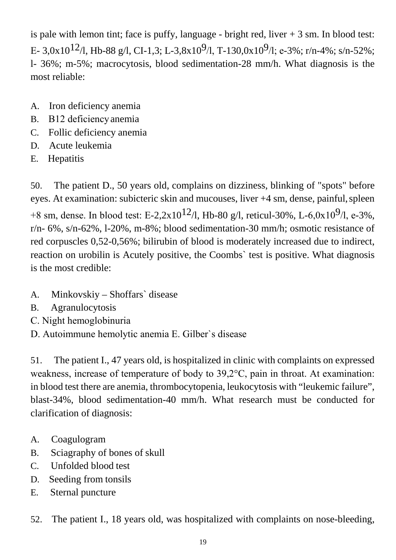is pale with lemon tint; face is puffy, language - bright red, liver  $+3$  sm. In blood test: E- 3,0x10<sup>12</sup>/l, Hb-88 g/l, CI-1,3; L-3,8x10<sup>9</sup>/l, T-130,0x10<sup>9</sup>/l; e-3%; r/n-4%; s/n-52%; l- 36%; m-5%; macrocytosis, blood sedimentation-28 mm/h. What diagnosis is the most reliable:

- A. Iron deficiency anemia
- B. В12 deficiencyanemia
- C. Follic deficiency anemia
- D. Acute leukemia
- E. Hepatitis

50. The patient D., 50 years old, complains on dizziness, blinking of "spots" before eyes. At examination: subicteric skin and mucouses, liver +4 sm, dense, painful, spleen +8 sm, dense. In blood test: E-2,2x10<sup>12</sup>/l, Hb-80 g/l, reticul-30%, L-6,0x10<sup>9</sup>/l, e-3%, r/n- 6%, s/n-62%, l-20%, m-8%; blood sedimentation-30 mm/h; osmotic resistance of red corpuscles 0,52-0,56%; bilirubin of blood is moderately increased due to indirect, reaction on urobilin is Acutely positive, the Coombs` test is positive. What diagnosis is the most credible:

- A. Minkovskiy Shoffars` disease
- B. Agranulocytosis
- С. Night hemoglobinuria
- D. Autoimmune hemolytic anemia Е. Gilber`s disease

51. The patient I., 47 years old, is hospitalized in clinic with complaints on expressed weakness, increase of temperature of body to 39,2°С, pain in throat. At examination: in blood test there are anemia, thrombocytopenia, leukocytosis with "leukemic failure", blast-34%, blood sedimentation-40 mm/h. What research must be conducted for clarification of diagnosis:

- A. Coagulogram
- B. Sciagraphy of bones of skull
- C. Unfolded blood test
- D. Seeding from tonsils
- E. Sternal puncture
- 52. The patient I., 18 years old, was hospitalized with complaints on nose-bleeding,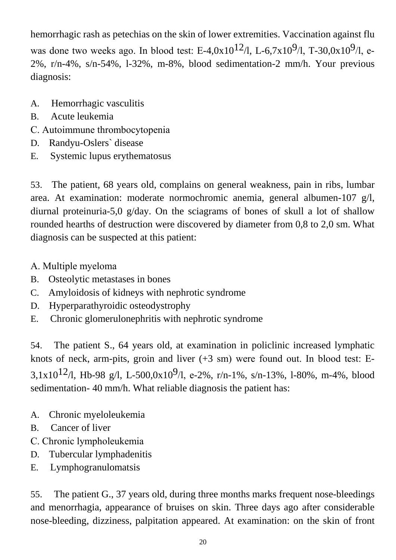hemorrhagic rash as petechias on the skin of lower extremities. Vaccination against flu was done two weeks ago. In blood test: E-4,0x10<sup>12</sup>/l, L-6,7x10<sup>9</sup>/l, T-30,0x10<sup>9</sup>/l, e-2%, r/n-4%, s/n-54%, l-32%, m-8%, blood sedimentation-2 mm/h. Your previous diagnosis:

- A. Hemorrhagic vasculitis
- B. Acute leukemia
- С. Аutoimmune thrombocytopenia
- D. Randyu-Oslers` disease
- E. Systemic lupus erythematosus

53. The patient, 68 years old, complains on general weakness, pain in ribs, lumbar area. At examination: moderate normochromic anemia, general albumen-107 g/l, diurnal proteinuria-5,0 g/day. On the sciagrams of bones of skull a lot of shallow rounded hearths of destruction were discovered by diameter from 0,8 to 2,0 sm. What diagnosis can be suspected at this patient:

- А. Multiple myeloma
- B. Osteolytic metastases in bones
- C. Amyloidosis of kidneys with nephrotic syndrome
- D. Hyperparathyroidic osteodystrophy
- E. Chronic glomerulonephritis with nephrotic syndrome

54. The patient S., 64 years old, at examination in policlinic increased lymphatic knots of neck, arm-pits, groin and liver (+3 sm) were found out. In blood test: Е-3,1x10<sup>12</sup>/l, Hb-98 g/l, L-500,0x10<sup>9</sup>/l, e-2%, r/n-1%, s/n-13%, l-80%, m-4%, blood sedimentation- 40 mm/h. What reliable diagnosis the patient has:

- A. Chronic myeloleukemia
- B. Cancer of liver
- С. Chronic lympholeukemia
- D. Tubercular lymphadenitis
- E. Lymphogranulomatsis

55. The patient G., 37 years old, during three months marks frequent nose-bleedings and menorrhagia, appearance of bruises on skin. Three days ago after considerable nose-bleeding, dizziness, palpitation appeared. At examination: on the skin of front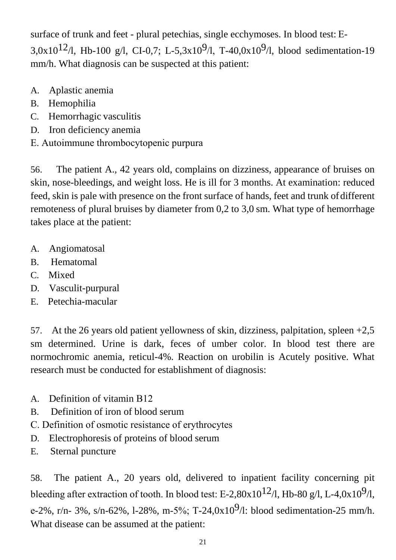surface of trunk and feet - plural petechias, single ecchymoses. In blood test: Е-3,0x10<sup>12</sup>/l, Hb-100 g/l, CI-0,7; L-5,3x10<sup>9</sup>/l, T-40,0x10<sup>9</sup>/l, blood sedimentation-19 mm/h. What diagnosis can be suspected at this patient:

- A. Aplastic anemia
- B. Hemophilia
- C. Hemorrhagic vasculitis
- D. Iron deficiency anemia
- Е. Autoimmune thrombocytopenic purpura

56. The patient A., 42 years old, complains on dizziness, appearance of bruises on skin, nose-bleedings, and weight loss. He is ill for 3 months. At examination: reduced feed, skin is pale with presence on the front surface of hands, feet and trunk of different remoteness of plural bruises by diameter from 0,2 to 3,0 sm. What type of hemorrhage takes place at the patient:

- A. Angiomatosal
- B. Hematomal
- C. Mixed
- D. Vasculit-purpural
- E. Petechia-macular

57. At the 26 years old patient yellowness of skin, dizziness, palpitation, spleen +2,5 sm determined. Urine is dark, feces of umber color. In blood test there are normochromic anemia, reticul-4%. Reaction on urobilin is Acutely positive. What research must be conducted for establishment of diagnosis:

- A. Definition of vitamin В12
- B. Definition of iron of blood serum
- С. Definition of osmotic resistance of erythrocytes
- D. Electrophoresis of proteins of blood serum
- E. Sternal puncture

58. The patient A., 20 years old, delivered to inpatient facility concerning pit bleeding after extraction of tooth. In blood test: E-2,80x10<sup>12</sup>/l, Hb-80 g/l, L-4,0x10<sup>9</sup>/l, e-2%, r/n- 3%, s/n-62%, l-28%, m-5%; T-24,0x10<sup>9</sup>/l: blood sedimentation-25 mm/h. What disease can be assumed at the patient: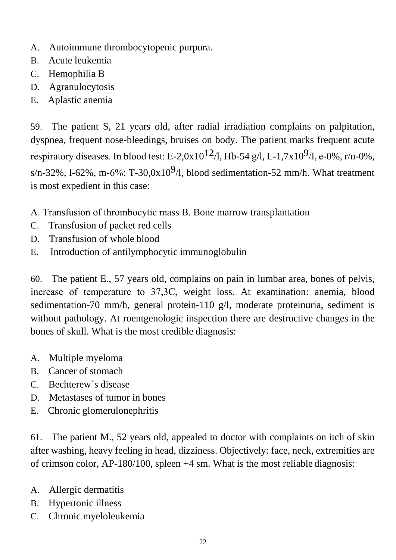- A. Autoimmune thrombocytopenic purpura.
- B. Acute leukemia
- C. Hemophilia B
- D. Agranulocytosis
- E. Aplastic anemia

59. The patient S, 21 years old, after radial irradiation complains on palpitation, dyspnea, frequent nose-bleedings, bruises on body. The patient marks frequent acute respiratory diseases. In blood test: E-2,0x10<sup>12</sup>/l, Hb-54 g/l, L-1,7x10<sup>9</sup>/l, e-0%, r/n-0%, s/n-32%, l-62%, m-6%; T-30,0x10<sup>9</sup>/l, blood sedimentation-52 mm/h. What treatment is most expedient in this case:

- А. Transfusion of thrombocytic mass В. Bone marrow transplantation
- C. Transfusion of packet red cells
- D. Transfusion of whole blood
- E. Introduction of antilymphocytic immunoglobulin

60. The patient E., 57 years old, complains on pain in lumbar area, bones of pelvis, increase of temperature to 37,3С, weight loss. At examination: anemia, blood sedimentation-70 mm/h, general protein-110 g/l, moderate proteinuria, sediment is without pathology. At roentgenologic inspection there are destructive changes in the bones of skull. What is the most credible diagnosis:

- A. Multiple myeloma
- B. Cancer of stomach
- C. Bechterew`s disease
- D. Metastases of tumor in bones
- E. Chronic glomerulonephritis

61. The patient M., 52 years old, appealed to doctor with complaints on itch of skin after washing, heavy feeling in head, dizziness. Objectively: face, neck, extremities are of crimson color, AP-180/100, spleen +4 sm. What is the most reliable diagnosis:

- A. Allergic dermatitis
- B. Hypertonic illness
- C. Chronic myeloleukemia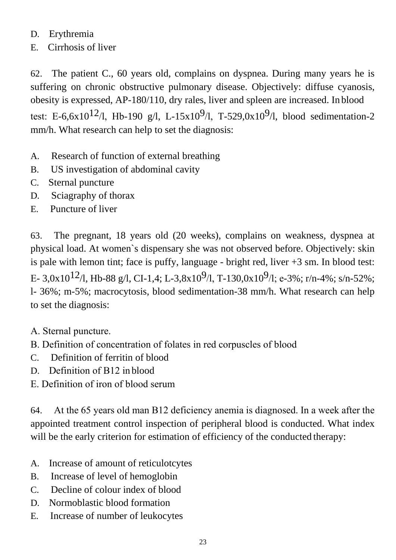## D. Erythremia

E. Cirrhosis of liver

62. The patient C., 60 years old, complains on dyspnea. During many years he is suffering on chronic obstructive pulmonary disease. Objectively: diffuse cyanosis, obesity is expressed, AP-180/110, dry rales, liver and spleen are increased. In blood test: E-6,6x10<sup>12</sup>/l, Hb-190 g/l, L-15x10<sup>9</sup>/l, T-529,0x10<sup>9</sup>/l, blood sedimentation-2 mm/h. What research can help to set the diagnosis:

- A. Research of function of external breathing
- B. US investigation of abdominal cavity
- C. Sternal puncture
- D. Sciagraphy of thorax
- E. Puncture of liver

63. The pregnant, 18 years old (20 weeks), complains on weakness, dyspnea at physical load. At women`s dispensary she was not observed before. Objectively: skin is pale with lemon tint; face is puffy, language - bright red, liver +3 sm. In blood test: E- 3,0x10<sup>12</sup>/l, Hb-88 g/l, CI-1,4; L-3,8x10<sup>9</sup>/l, T-130,0x10<sup>9</sup>/l; e-3%; r/n-4%; s/n-52%; l- 36%; m-5%; macrocytosis, blood sedimentation-38 mm/h. What research can help to set the diagnosis:

- А. Sternal puncture.
- В. Definition of concentration of folates in red corpuscles of blood
- C. Definition of ferritin of blood
- D. Definition of В12 in blood
- Е. Definition of iron of blood serum

64. At the 65 years old man В12 deficiency anemia is diagnosed. In a week after the appointed treatment control inspection of peripheral blood is conducted. What index will be the early criterion for estimation of efficiency of the conducted therapy:

- A. Increase of amount of reticulotcytes
- B. Increase of level of hemoglobin
- C. Decline of colour index of blood
- D. Normoblastic blood formation
- E. Increase of number of leukocytes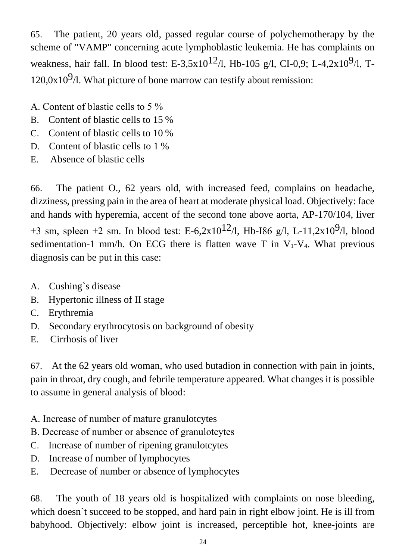65. The patient, 20 years old, passed regular course of polychemotherapy by the scheme of "VAMP" concerning acute lymphoblastic leukemia. He has complaints on weakness, hair fall. In blood test: E-3,5x10<sup>12</sup>/l, Hb-105 g/l, CI-0,9; L-4,2x10<sup>9</sup>/l, T- $120.0x10<sup>9</sup>/l$ . What picture of bone marrow can testify about remission:

- А. Content of blastic cells to 5 %
- B. Content of blastic cells to 15 %
- C. Content of blastic cells to 10 %
- D. Content of blastic cells to 1 %
- E. Absence of blastic cells

66. The patient O., 62 years old, with increased feed, complains on headache, dizziness, pressing pain in the area of heart at moderate physical load. Objectively: face and hands with hyperemia, accent of the second tone above aorta, AP-170/104, liver +3 sm, spleen +2 sm. In blood test: E-6,2x10<sup>12</sup>/l, Hb-I86 g/l, L-11,2x10<sup>9</sup>/l, blood sedimentation-1 mm/h. On ECG there is flatten wave T in  $V_1$ -V<sub>4</sub>. What previous diagnosis can be put in this case:

- A. Cushing`s disease
- B. Hypertonic illness of II stage
- C. Erythremia
- D. Secondary erythrocytosis on background of obesity
- E. Cirrhosis of liver

67. At the 62 years old woman, who used butadion in connection with pain in joints, pain in throat, dry cough, and febrile temperature appeared. What changes it is possible to assume in general analysis of blood:

- А. Increase of number of mature granulotcytes
- В. Decrease of number or absence of granulotcytes
- C. Increase of number of ripening granulotcytes
- D. Increase of number of lymphocytes
- E. Decrease of number or absence of lymphocytes

68. The youth of 18 years old is hospitalized with complaints on nose bleeding, which doesn`t succeed to be stopped, and hard pain in right elbow joint. He is ill from babyhood. Objectively: elbow joint is increased, perceptible hot, knee-joints are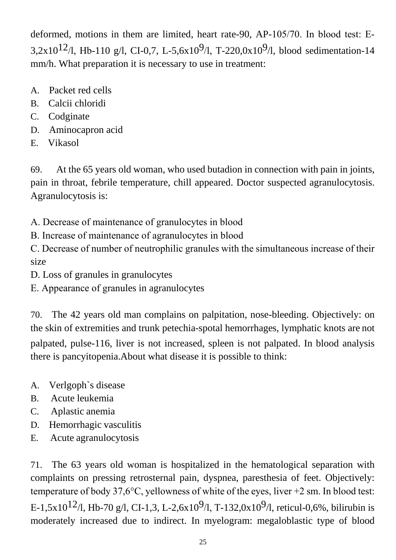deformed, motions in them are limited, heart rate-90, AP-105/70. In blood test: Е-3,2x10<sup>12</sup>/l, Hb-110 g/l, CI-0,7, L-5,6x10<sup>9</sup>/l, T-220,0x10<sup>9</sup>/l, blood sedimentation-14 mm/h. What preparation it is necessary to use in treatment:

- A. Packet red cells
- B. Calcii chloridi
- C. Codginate
- D. Aminocapron acid
- E. Vikasol

69. At the 65 years old woman, who used butadion in connection with pain in joints, pain in throat, febrile temperature, chill appeared. Doctor suspected agranulocytosis. Agranulocytosis is:

А. Decrease of maintenance of granulocytes in blood

В. Increase of maintenance of agranulocytes in blood

С. Decrease of number of neutrophilic granules with the simultaneous increase of their size

D. Loss of granules in granulocytes

Е. Appearance of granules in agranulocytes

70. The 42 years old man complains on palpitation, nose-bleeding. Objectively: on the skin of extremities and trunk petechia-spotal hemorrhages, lymphatic knots are not palpated, pulse-116, liver is not increased, spleen is not palpated. In blood analysis there is pancyitopenia.About what disease it is possible to think:

- A. Verlgoph`s disease
- B. Acute leukemia
- C. Aplastic anemia
- D. Hemorrhagic vasculitis
- E. Acute agranulocytosis

71. The 63 years old woman is hospitalized in the hematological separation with complaints on pressing retrosternal pain, dyspnea, paresthesia of feet. Objectively: temperature of body 37,6 $\degree$ C, yellowness of white of the eyes, liver +2 sm. In blood test: E-1,5x10<sup>12</sup>/l, Hb-70 g/l, CI-1,3, L-2,6x10<sup>9</sup>/l, T-132,0x10<sup>9</sup>/l, reticul-0,6%, bilirubin is moderately increased due to indirect. In myelogram: megaloblastic type of blood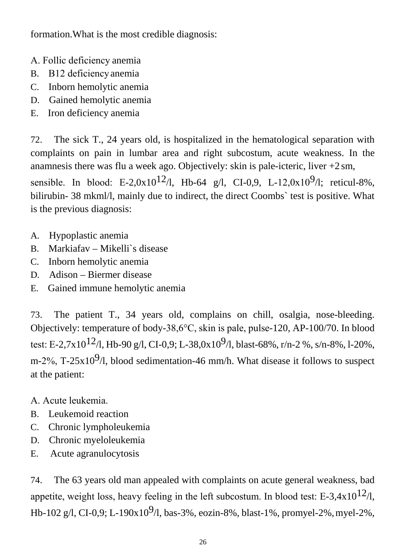formation.What is the most credible diagnosis:

- А. Follic deficiency anemia
- B. В12 deficiencyanemia
- C. Inborn hemolytic anemia
- D. Gained hemolytic anemia
- E. Iron deficiency anemia

72. The sick T., 24 years old, is hospitalized in the hematological separation with complaints on pain in lumbar area and right subcostum, acute weakness. In the anamnesis there was flu a week ago. Objectively: skin is pale-icteric, liver  $+2 \text{ sm}$ ,

sensible. In blood: E-2,0x10<sup>12</sup>/l, Hb-64 g/l, CI-0,9, L-12,0x10<sup>9</sup>/l; reticul-8%, bilirubin- 38 mkml/l, mainly due to indirect, the direct Coombs` test is positive. What is the previous diagnosis:

- A. Hypoplastic anemia
- B. Markiafav Mikelli`s disease
- C. Inborn hemolytic anemia
- D. Adison Biermer disease
- E. Gained immune hemolytic anemia

73. The patient T., 34 years old, complains on chill, osalgia, nose-bleeding. Objectively: temperature of body-38,6°С, skin is pale, pulse-120, AP-100/70. In blood test: E-2,7x10<sup>12</sup>/l, Hb-90 g/l, CI-0,9; L-38,0x10<sup>9</sup>/l, blast-68%, r/n-2 %, s/n-8%, l-20%, m-2%, T-25x10<sup>9</sup>/l, blood sedimentation-46 mm/h. What disease it follows to suspect at the patient:

- А. Acute leukemia.
- B. Leukemoid reaction
- C. Chronic lympholeukemia
- D. Chronic myeloleukemia
- E. Acute agranulocytosis

74. The 63 years old man appealed with complaints on acute general weakness, bad appetite, weight loss, heavy feeling in the left subcostum. In blood test: E-3,4x10<sup>12</sup>/l, Hb-102 g/l, CI-0,9; L-190x10<sup>9</sup>/l, bas-3%, eozin-8%, blast-1%, promyel-2%, myel-2%,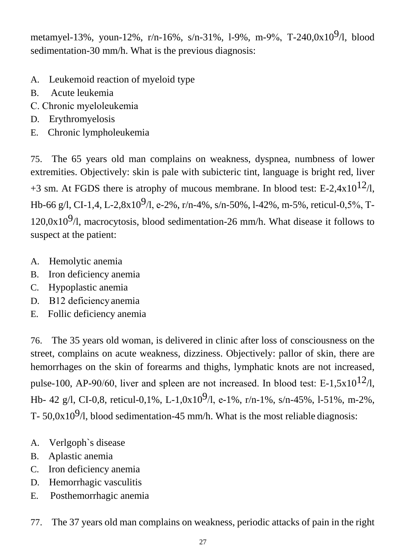metamyel-13%, youn-12%, r/n-16%, s/n-31%, l-9%, m-9%, T-240,0x10<sup>9</sup>/l, blood sedimentation-30 mm/h. What is the previous diagnosis:

- A. Leukemoid reaction of myeloid type
- B. Acute leukemia
- С. Chronic myeloleukemia
- D. Erythromyelosis
- E. Chronic lympholeukemia

75. The 65 years old man complains on weakness, dyspnea, numbness of lower extremities. Objectively: skin is pale with subicteric tint, language is bright red, liver +3 sm. At FGDS there is atrophy of mucous membrane. In blood test: E-2,4x10<sup>12</sup>/l, Hb-66 g/l, CI-1,4, L-2,8x10<sup>9</sup>/l, e-2%, r/n-4%, s/n-50%, l-42%, m-5%, reticul-0,5%, T-120,0x10 $9/$ l, macrocytosis, blood sedimentation-26 mm/h. What disease it follows to suspect at the patient:

- A. Hemolytic anemia
- B. Iron deficiency anemia
- C. Hypoplastic anemia
- D. В12 deficiencyanemia
- E. Follic deficiency anemia

76. The 35 years old woman, is delivered in clinic after loss of consciousness on the street, complains on acute weakness, dizziness. Objectively: pallor of skin, there are hemorrhages on the skin of forearms and thighs, lymphatic knots are not increased, pulse-100, AP-90/60, liver and spleen are not increased. In blood test: E-1,5x10<sup>12</sup>/l, Hb- 42 g/l, CI-0,8, reticul-0,1%, L-1,0x10<sup>9</sup>/l, e-1%, r/n-1%, s/n-45%, l-51%, m-2%, T-  $50.0x10<sup>9</sup>/l$ , blood sedimentation-45 mm/h. What is the most reliable diagnosis:

- A. Verlgoph`s disease
- B. Aplastic anemia
- C. Iron deficiency anemia
- D. Hemorrhagic vasculitis
- E. Posthemorrhagic anemia
- 77. The 37 years old man complains on weakness, periodic attacks of pain in the right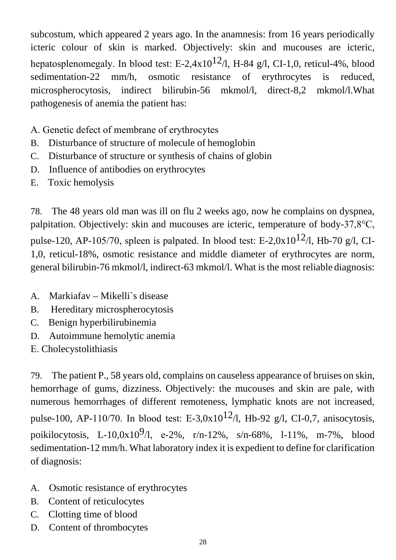subcostum, which appeared 2 years ago. In the anamnesis: from 16 years periodically icteric colour of skin is marked. Objectively: skin and mucouses are icteric, hepatosplenomegaly. In blood test: E-2,4x10<sup>12</sup>/l, H-84 g/l, CI-1,0, reticul-4%, blood sedimentation-22 mm/h, osmotic resistance of erythrocytes is reduced, microspherocytosis, indirect bilirubin-56 mkmol/l, direct-8,2 mkmol/l.What pathogenesis of anemia the patient has:

- А. Genetic defect of membrane of erythrocytes
- B. Disturbance of structure of molecule of hemoglobin
- C. Disturbance of structure or synthesis of chains of globin
- D. Influence of antibodies on erythrocytes
- E. Toxic hemolysis

78. The 48 years old man was ill on flu 2 weeks ago, now he complains on dyspnea, palpitation. Objectively: skin and mucouses are icteric, temperature of body-37,8°C, pulse-120, AP-105/70, spleen is palpated. In blood test: E-2,0x10<sup>12</sup>/l, Hb-70 g/l, CI-1,0, reticul-18%, osmotic resistance and middle diameter of erythrocytes are norm, general bilirubin-76 mkmol/l, indirect-63 mkmol/l. What is the most reliable diagnosis:

- A. Markiafav Mikelli`s disease
- B. Hereditary microspherocytosis
- C. Benign hyperbilirubinemia
- D. Autoimmune hemolytic anemia
- Е. Cholecystolithiasis

79. The patient P., 58 years old, complains on causeless appearance of bruises on skin, hemorrhage of gums, dizziness. Objectively: the mucouses and skin are pale, with numerous hemorrhages of different remoteness, lymphatic knots are not increased, pulse-100, AP-110/70. In blood test: E-3,0x10<sup>12</sup>/l, Hb-92 g/l, CI-0,7, anisocytosis, poikilocytosis, L-10,0x10<sup>9</sup>/l, e-2%, r/n-12%, s/n-68%, l-11%, m-7%, blood sedimentation-12 mm/h. What laboratory index it is expedient to define for clarification of diagnosis:

- A. Osmotic resistance of erythrocytes
- B. Content of reticulocytes
- C. Clotting time of blood
- D. Content of thrombocytes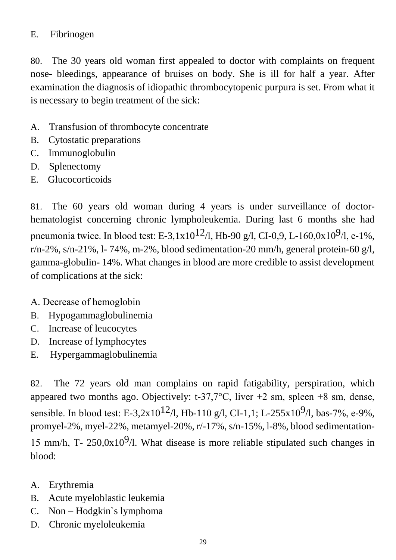#### E. Fibrinogen

80. The 30 years old woman first appealed to doctor with complaints on frequent nose- bleedings, appearance of bruises on body. She is ill for half a year. After examination the diagnosis of idiopathic thrombocytopenic purpura is set. From what it is necessary to begin treatment of the sick:

- A. Transfusion of thrombocyte concentrate
- B. Cytostatic preparations
- C. Immunoglobulin
- D. Splenectomy
- E. Glucocorticoids

81. The 60 years old woman during 4 years is under surveillance of doctorhematologist concerning chronic lympholeukemia. During last 6 months she had pneumonia twice. In blood test: E-3,1x10<sup>12</sup>/l, Hb-90 g/l, CI-0,9, L-160,0x10<sup>9</sup>/l, e-1%,  $r/n-2\%$ , s/n-21%, l-74%, m-2%, blood sedimentation-20 mm/h, general protein-60 g/l, gamma-globulin- 14%. What changes in blood are more credible to assist development of complications at the sick:

- А. Decrease of hemoglobin
- B. Hypogammaglobulinemia
- C. Increase of leucocytes
- D. Increase of lymphocytes
- E. Hypergammaglobulinemia

82. The 72 years old man complains on rapid fatigability, perspiration, which appeared two months ago. Objectively: t-37,7 $\degree$ C, liver +2 sm, spleen +8 sm, dense, sensible. In blood test: E-3,2x10<sup>12</sup>/l, Hb-110 g/l, CI-1,1; L-255x10<sup>9</sup>/l, bas-7%, e-9%, promyel-2%, myel-22%, metamyel-20%, r/-17%, s/n-15%, l-8%, blood sedimentation-15 mm/h, T- 250,0x10 $9/$ l. What disease is more reliable stipulated such changes in blood:

- A. Erythremia
- B. Acute myeloblastic leukemia
- C. Non Hodgkin`s lymphoma
- D. Chronic myeloleukemia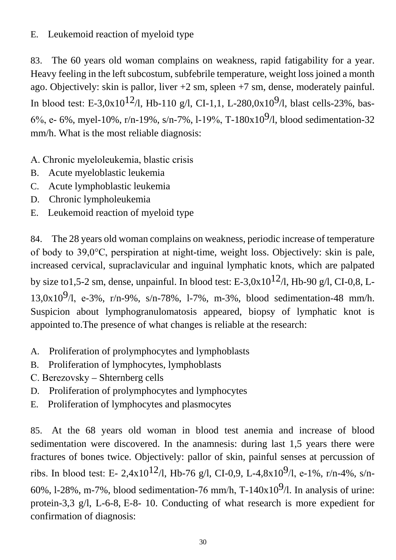## E. Leukemoid reaction of myeloid type

83. The 60 years old woman complains on weakness, rapid fatigability for a year. Heavy feeling in the left subcostum, subfebrile temperature, weight loss joined a month ago. Objectively: skin is pallor, liver  $+2$  sm, spleen  $+7$  sm, dense, moderately painful. In blood test: E-3,0x10<sup>12</sup>/l, Hb-110 g/l, CI-1,1, L-280,0x10<sup>9</sup>/l, blast cells-23%, bas-6%, e- 6%, myel-10%, r/n-19%, s/n-7%, l-19%, T-180x10<sup>9</sup>/l, blood sedimentation-32 mm/h. What is the most reliable diagnosis:

А. Chronic myeloleukemia, blastic crisis

- B. Acute myeloblastic leukemia
- C. Acute lymphoblastic leukemia
- D. Chronic lympholeukemia
- E. Leukemoid reaction of myeloid type

84. The 28 years old woman complains on weakness, periodic increase of temperature of body to 39,0°С, perspiration at night-time, weight loss. Objectively: skin is pale, increased cervical, supraclavicular and inguinal lymphatic knots, which are palpated by size to1,5-2 sm, dense, unpainful. In blood test: E-3,0x10<sup>12</sup>/l, Hb-90 g/l, CI-0,8, L-13,0x10<sup>9</sup>/l, e-3%, r/n-9%, s/n-78%, l-7%, m-3%, blood sedimentation-48 mm/h. Suspicion about lymphogranulomatosis appeared, biopsy of lymphatic knot is appointed to.The presence of what changes is reliable at the research:

- A. Proliferation of prolymphocytes and lymphoblasts
- B. Proliferation of lymphocytes, lymphoblasts
- С. Berezovsky Shternberg cells
- D. Proliferation of prolymphocytes and lymphocytes
- E. Proliferation of lymphocytes and plasmocytes

85. At the 68 years old woman in blood test anemia and increase of blood sedimentation were discovered. In the anamnesis: during last 1,5 years there were fractures of bones twice. Objectively: pallor of skin, painful senses at percussion of ribs. In blood test: E- 2,4x10<sup>12</sup>/l, Hb-76 g/l, CI-0,9, L-4,8x10<sup>9</sup>/l, e-1%, r/n-4%, s/n-60%, l-28%, m-7%, blood sedimentation-76 mm/h, T-140x10<sup>9</sup>/l. In analysis of urine: protein-3,3 g/l, L-6-8, Е-8- 10. Conducting of what research is more expedient for confirmation of diagnosis: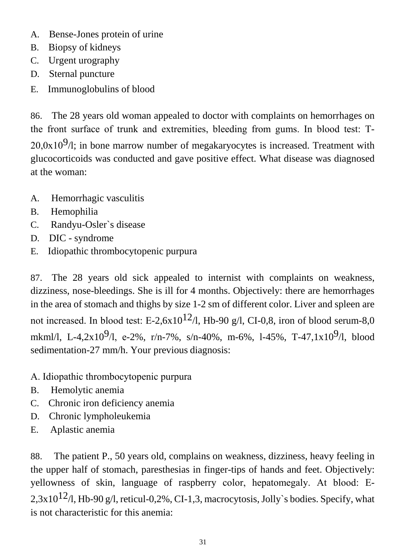- A. Bense-Jones protein of urine
- B. Biopsy of kidneys
- C. Urgent urography
- D. Sternal puncture
- E. Immunoglobulins of blood

86. The 28 years old woman appealed to doctor with complaints on hemorrhages on the front surface of trunk and extremities, bleeding from gums. In blood test: Т- $20,0x10<sup>9</sup>/l$ ; in bone marrow number of megakaryocytes is increased. Treatment with glucocorticoids was conducted and gave positive effect. What disease was diagnosed at the woman:

- A. Hemorrhagic vasculitis
- B. Hemophilia
- C. Randyu-Osler`s disease
- D. DIC syndrome
- E. Idiopathic thrombocytopenic purpura

87. The 28 years old sick appealed to internist with complaints on weakness, dizziness, nose-bleedings. She is ill for 4 months. Objectively: there are hemorrhages in the area of stomach and thighs by size 1-2 sm of different color. Liver and spleen are not increased. In blood test: E-2,6x10<sup>12</sup>/l, Hb-90 g/l, CI-0,8, iron of blood serum-8,0 mkml/l, L-4,2x10<sup>9</sup>/l, e-2%, r/n-7%, s/n-40%, m-6%, l-45%, T-47,1x10<sup>9</sup>/l, blood sedimentation-27 mm/h. Your previous diagnosis:

- А. Idiopathic thrombocytopenic purpura
- B. Hemolytic anemia
- C. Chronic iron deficiency anemia
- D. Chronic lympholeukemia
- E. Aplastic anemia

88. The patient P., 50 years old, complains on weakness, dizziness, heavy feeling in the upper half of stomach, paresthesias in finger-tips of hands and feet. Objectively: yellowness of skin, language of raspberry color, hepatomegaly. At blood: Е-2,3x10<sup>12</sup>/l, Hb-90 g/l, reticul-0,2%, CI-1,3, macrocytosis, Jolly's bodies. Specify, what is not characteristic for this anemia: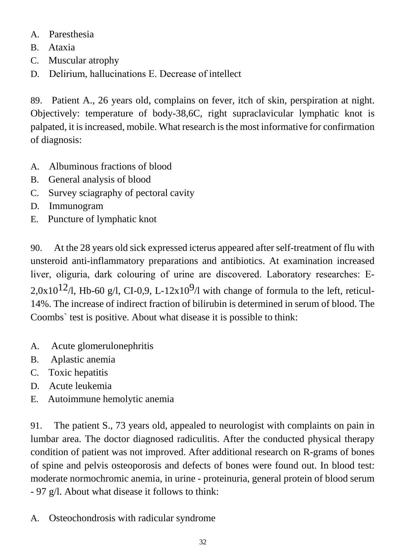- A. Paresthesia
- B. Ataxia
- C. Muscular atrophy
- D. Delirium, hallucinations Е. Decrease of intellect

89. Patient A., 26 years old, complains on fever, itch of skin, perspiration at night. Objectively: temperature of body-38,6C, right supraclavicular lymphatic knot is palpated, it is increased, mobile. What research is the most informative for confirmation of diagnosis:

- A. Albuminous fractions of blood
- B. General analysis of blood
- C. Survey sciagraphy of pectoral cavity
- D. Immunogram
- E. Puncture of lymphatic knot

90. At the 28 years old sick expressed icterus appeared after self-treatment of flu with unsteroid anti-inflammatory preparations and antibiotics. At examination increased liver, oliguria, dark colouring of urine are discovered. Laboratory researches: Е-2,0x10<sup>12</sup>/l, Hb-60 g/l, CI-0,9, L-12x10<sup>9</sup>/l with change of formula to the left, reticul-14%. The increase of indirect fraction of bilirubin is determined in serum of blood. The Coombs` test is positive. About what disease it is possible to think:

- A. Acute glomerulonephritis
- B. Aplastic anemia
- C. Toxic hepatitis
- D. Acute leukemia
- E. Autoimmune hemolytic anemia

91. The patient S., 73 years old, appealed to neurologist with complaints on pain in lumbar area. The doctor diagnosed radiculitis. After the conducted physical therapy condition of patient was not improved. After additional research on R-grams of bones of spine and pelvis osteoporosis and defects of bones were found out. In blood test: moderate normochromic anemia, in urine - proteinuria, general protein of blood serum - 97 g/l. About what disease it follows to think:

A. Osteochondrosis with radicular syndrome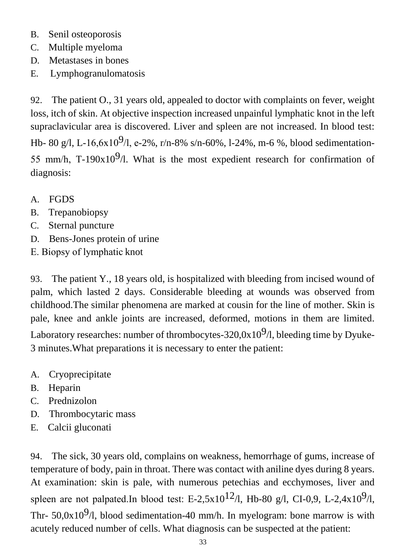- B. Senil osteoporosis
- C. Multiple myeloma
- D. Metastases in bones
- E. Lymphogranulomatosis

92. The patient O., 31 years old, appealed to doctor with complaints on fever, weight loss, itch of skin. At objective inspection increased unpainful lymphatic knot in the left supraclavicular area is discovered. Liver and spleen are not increased. In blood test: Hb- 80 g/l, L-16,6x10<sup>9</sup>/l, e-2%, r/n-8% s/n-60%, l-24%, m-6 %, blood sedimentation-55 mm/h, T-190x10<sup>9</sup>/l. What is the most expedient research for confirmation of diagnosis:

- A. FGDS
- B. Trepanobiopsy
- C. Sternal puncture
- D. Bens-Jones protein of urine
- Е. Biopsy of lymphatic knot

93. The patient Y., 18 years old, is hospitalized with bleeding from incised wound of palm, which lasted 2 days. Considerable bleeding at wounds was observed from childhood.The similar phenomena are marked at cousin for the line of mother. Skin is pale, knee and ankle joints are increased, deformed, motions in them are limited. Laboratory researches: number of thrombocytes-320,0x10<sup>9</sup>/l, bleeding time by Dyuke-3 minutes.What preparations it is necessary to enter the patient:

- A. Cryoprecipitate
- B. Heparin
- C. Prednizolon
- D. Thrombocytaric mass
- E. Calcii gluconati

94. The sick, 30 years old, complains on weakness, hemorrhage of gums, increase of temperature of body, pain in throat. There was contact with aniline dyes during 8 years. At examination: skin is pale, with numerous petechias and ecchymoses, liver and spleen are not palpated.In blood test: E-2,5x10<sup>12</sup>/l, Hb-80 g/l, CI-0,9, L-2,4x10<sup>9</sup>/l, Thr- 50,0x10<sup>9</sup>/l, blood sedimentation-40 mm/h. In myelogram: bone marrow is with acutely reduced number of cells. What diagnosis can be suspected at the patient: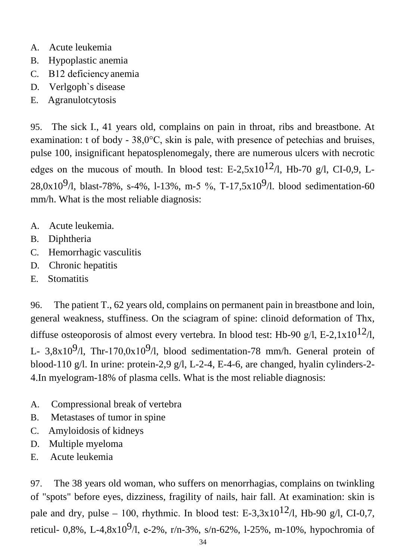- A. Acute leukemia
- B. Hypoplastic anemia
- C. В12 deficiencyanemia
- D. Verlgoph`s disease
- E. Agranulotcytosis

95. The sick I., 41 years old, complains on pain in throat, ribs and breastbone. At examination: t of body - 38,0°С, skin is pale, with presence of petechias and bruises, pulse 100, insignificant hepatosplenomegaly, there are numerous ulcers with necrotic edges on the mucous of mouth. In blood test: E-2,5x10<sup>12</sup>/l, Hb-70 g/l, CI-0,9, L-28,0x10<sup>9</sup>/l, blast-78%, s-4%, l-13%, m-5 %, T-17,5x10<sup>9</sup>/l. blood sedimentation-60 mm/h. What is the most reliable diagnosis:

- A. Acute leukemia.
- B. Diphtheria
- C. Hemorrhagic vasculitis
- D. Chronic hepatitis
- E. Stomatitis

96. The patient T., 62 years old, complains on permanent pain in breastbone and loin, general weakness, stuffiness. On the sciagram of spine: clinoid deformation of Thx, diffuse osteoporosis of almost every vertebra. In blood test: Hb-90 g/l, E-2,1x10<sup>12</sup>/l, L- 3,8x10<sup>9</sup>/l, Thr-170,0x10<sup>9</sup>/l, blood sedimentation-78 mm/h. General protein of blood-110 g/l. In urine: protein-2,9 g/l, L-2-4, E-4-6, are changed, hyalin cylinders-2- 4.In myelogram-18% of plasma cells. What is the most reliable diagnosis:

- A. Compressional break of vertebra
- B. Metastases of tumor in spine
- C. Amyloidosis of kidneys
- D. Multiple myeloma
- E. Acute leukemia

97. The 38 years old woman, who suffers on menorrhagias, complains on twinkling of "spots" before eyes, dizziness, fragility of nails, hair fall. At examination: skin is pale and dry, pulse – 100, rhythmic. In blood test: E-3,3x10<sup>12</sup>/l, Hb-90 g/l, CI-0,7, reticul- 0,8%, L-4,8x10<sup>9</sup>/l, e-2%, r/n-3%, s/n-62%, l-25%, m-10%, hypochromia of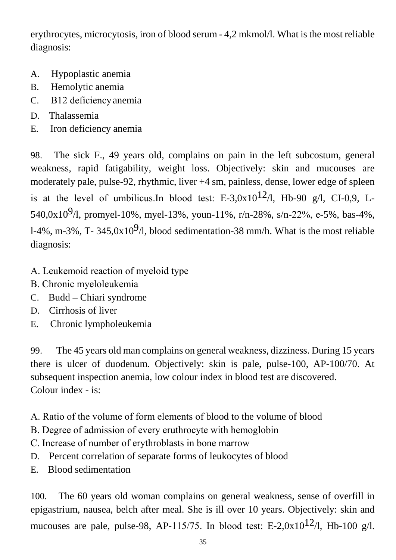erythrocytes, microcytosis, iron of blood serum - 4,2 mkmol/l. What is the most reliable diagnosis:

- A. Hypoplastic anemia
- B. Hemolytic anemia
- C. В12 deficiencyanemia
- D. Thalassemia
- E. Iron deficiency anemia

98. The sick F., 49 years old, complains on pain in the left subcostum, general weakness, rapid fatigability, weight loss. Objectively: skin and mucouses are moderately pale, pulse-92, rhythmic, liver +4 sm, painless, dense, lower edge of spleen is at the level of umbilicus.In blood test: E-3,0x10<sup>12</sup>/l, Hb-90 g/l, CI-0,9, L-540,0x10<sup>9</sup>/l, promyel-10%, myel-13%, youn-11%, r/n-28%, s/n-22%, e-5%, bas-4%, l-4%, m-3%, T- 345,0x10<sup>9</sup>/l, blood sedimentation-38 mm/h. What is the most reliable diagnosis:

- А. Leukemoid reaction of myeloid type
- В. Chronic myeloleukemia
- C. Budd Chiari syndrome
- D. Cirrhosis of liver
- E. Chronic lympholeukemia

99. The 45 years old man complains on general weakness, dizziness. During 15 years there is ulcer of duodenum. Objectively: skin is pale, pulse-100, AP-100/70. At subsequent inspection anemia, low colour index in blood test are discovered. Colour index - is:

А. Ratio of the volume of form elements of blood to the volume of blood

- В. Degree of admission of every eruthrocyte with hemoglobin
- С. Increase of number of erythroblasts in bone marrow
- D. Percent correlation of separate forms of leukocytes of blood
- E. Blood sedimentation

100. The 60 years old woman complains on general weakness, sense of overfill in epigastrium, nausea, belch after meal. She is ill over 10 years. Objectively: skin and mucouses are pale, pulse-98, AP-115/75. In blood test: E-2,0x10<sup>12</sup>/l, Hb-100 g/l.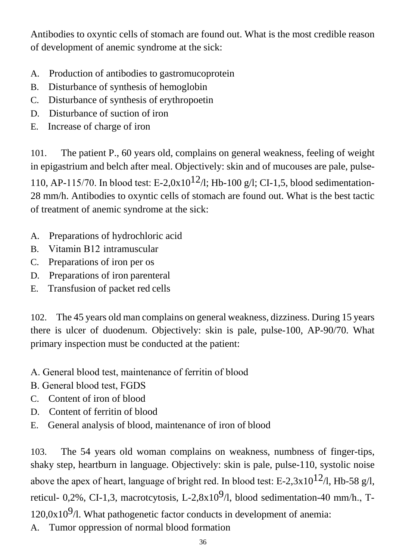Antibodies to oxyntic cells of stomach are found out. What is the most credible reason of development of anemic syndrome at the sick:

- A. Production of antibodies to gastromucoprotein
- B. Disturbance of synthesis of hemoglobin
- C. Disturbance of synthesis of erythropoetin
- D. Disturbance of suction of iron
- E. Increase of charge of iron

101. The patient P., 60 years old, complains on general weakness, feeling of weight in epigastrium and belch after meal. Objectively: skin and of mucouses are pale, pulse-110, AP-115/70. In blood test: E-2,0x10<sup>12</sup>/l; Hb-100 g/l; CI-1,5, blood sedimentation-28 mm/h. Antibodies to oxyntic cells of stomach are found out. What is the best tactic of treatment of anemic syndrome at the sick:

- A. Preparations of hydrochloric acid
- B. Vitamin В12 intramuscular
- C. Preparations of iron per os
- D. Preparations of iron parenteral
- E. Transfusion of packet red cells

102. The 45 years old man complains on general weakness, dizziness. During 15 years there is ulcer of duodenum. Objectively: skin is pale, pulse-100, AP-90/70. What primary inspection must be conducted at the patient:

- А. General blood test, maintenance of ferritin of blood
- В. General blood test, FGDS
- C. Content of iron of blood
- D. Content of ferritin of blood
- E. General analysis of blood, maintenance of iron of blood

103. The 54 years old woman complains on weakness, numbness of finger-tips, shaky step, heartburn in language. Objectively: skin is pale, pulse-110, systolic noise above the apex of heart, language of bright red. In blood test: E-2,3x10<sup>12</sup>/l, Hb-58 g/l, reticul- 0,2%, CI-1,3, macrotcytosis, L-2,8x10<sup>9</sup>/l, blood sedimentation-40 mm/h., T- $120,0x10<sup>9</sup>/l$ . What pathogenetic factor conducts in development of anemia: A. Tumor oppression of normal blood formation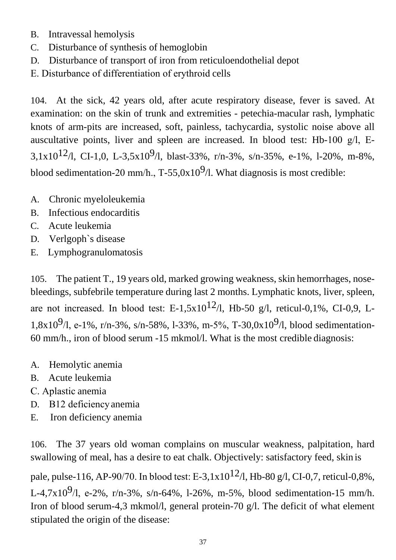- B. Intravessal hemolysis
- C. Disturbance of synthesis of hemoglobin
- D. Disturbance of transport of iron from reticuloendothelial depot
- Е. Disturbance of differentiation of erythroid cells

104. At the sick, 42 years old, after acute respiratory disease, fever is saved. At examination: on the skin of trunk and extremities - petechia-macular rash, lymphatic knots of arm-pits are increased, soft, painless, tachycardia, systolic noise above all auscultative points, liver and spleen are increased. In blood test: Hb-100 g/l, Е-3,1x10<sup>12</sup>/l, CI-1,0, L-3,5x10<sup>9</sup>/l, blast-33%, r/n-3%, s/n-35%, e-1%, l-20%, m-8%, blood sedimentation-20 mm/h.,  $T-55,0x10^9/1$ . What diagnosis is most credible:

- A. Chronic myeloleukemia
- B. Infectious endocarditis
- C. Acute leukemia
- D. Verlgoph`s disease
- E. Lymphogranulomatosis

105. The patient T., 19 years old, marked growing weakness, skin hemorrhages, nosebleedings, subfebrile temperature during last 2 months. Lymphatic knots, liver, spleen, are not increased. In blood test: E-1,5x10<sup>12</sup>/l, Hb-50 g/l, reticul-0,1%, CI-0,9, L-1,8x10<sup>9</sup>/l, e-1%, r/n-3%, s/n-58%, l-33%, m-5%, T-30,0x10<sup>9</sup>/l, blood sedimentation-60 mm/h., iron of blood serum -15 mkmol/l. What is the most credible diagnosis:

- A. Hemolytic anemia
- B. Acute leukemia
- С. Aplastic anemia
- D. В12 deficiencyanemia
- E. Iron deficiency anemia

106. The 37 years old woman complains on muscular weakness, palpitation, hard swallowing of meal, has a desire to eat chalk. Objectively: satisfactory feed, skin is

pale, pulse-116, AP-90/70. In blood test: E-3,1x10<sup>12</sup>/l, Hb-80 g/l, CI-0,7, reticul-0,8%, L-4,7x10<sup>9</sup>/l, e-2%, r/n-3%, s/n-64%, l-26%, m-5%, blood sedimentation-15 mm/h. Iron of blood serum-4,3 mkmol/l, general protein-70 g/l. The deficit of what element stipulated the origin of the disease: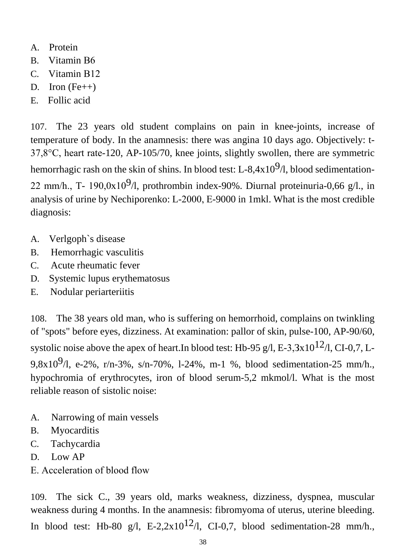- A. Protein
- B. Vitamin B<sub>6</sub>
- C. Vitamin В12
- D. Iron  $(Fe++)$
- E. Follic acid

107. The 23 years old student complains on pain in knee-joints, increase of temperature of body. In the anamnesis: there was angina 10 days ago. Objectively: t-37,8°С, heart rate-120, AP-105/70, knee joints, slightly swollen, there are symmetric hemorrhagic rash on the skin of shins. In blood test: L-8,4x10 $9/1$ , blood sedimentation-22 mm/h., T- 190,0x10<sup>9</sup>/l, prothrombin index-90%. Diurnal proteinuria-0,66 g/l., in analysis of urine by Nechiporenko: L-2000, Е-9000 in 1mkl. What is the most credible diagnosis:

- A. Verlgoph`s disease
- B. Hemorrhagic vasculitis
- C. Acute rheumatic fever
- D. Systemic lupus erythematosus
- E. Nodular periarteriitis

108. The 38 years old man, who is suffering on hemorrhoid, complains on twinkling of "spots" before eyes, dizziness. At examination: pallor of skin, pulse-100, AP-90/60, systolic noise above the apex of heart.In blood test: Hb-95 g/l, E-3,3x10<sup>12</sup>/l, CI-0,7, L-9,8x10<sup>9</sup>/l, e-2%, r/n-3%, s/n-70%, l-24%, m-1 %, blood sedimentation-25 mm/h., hypochromia of erythrocytes, iron of blood serum-5,2 mkmol/l. What is the most reliable reason of sistolic noise:

- A. Narrowing of main vessels
- B. Myocarditis
- C. Tachycardia
- D. Low AP
- Е. Acceleration of blood flow

109. The sick C., 39 years old, marks weakness, dizziness, dyspnea, muscular weakness during 4 months. In the anamnesis: fibromyoma of uterus, uterine bleeding. In blood test: Hb-80 g/l, E-2,2x10<sup>12</sup>/l, CI-0,7, blood sedimentation-28 mm/h.,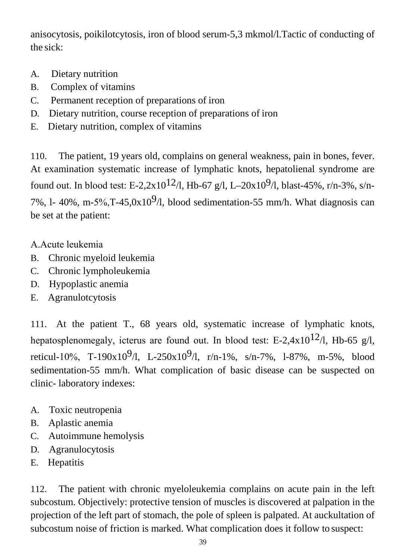anisocytosis, poikilotcytosis, iron of blood serum-5,3 mkmol/l.Tactic of conducting of the sick:

- A. Dietary nutrition
- B. Complex of vitamins
- C. Permanent reception of preparations of iron
- D. Dietary nutrition, course reception of preparations of iron
- E. Dietary nutrition, complex of vitamins

110. The patient, 19 years old, complains on general weakness, pain in bones, fever. At examination systematic increase of lymphatic knots, hepatolienal syndrome are found out. In blood test: E-2,2x10<sup>12</sup>/l, Hb-67 g/l, L-20x10<sup>9</sup>/l, blast-45%, r/n-3%, s/n-7%, l- 40%, m-5%, T-45,  $0x10<sup>9</sup>/l$ , blood sedimentation-55 mm/h. What diagnosis can be set at the patient:

- А.Acute leukemia
- B. Chronic myeloid leukemia
- C. Chronic lympholeukemia
- D. Hypoplastic anemia
- E. Agranulotcytosis

111. At the patient T., 68 years old, systematic increase of lymphatic knots, hepatosplenomegaly, icterus are found out. In blood test: E-2,4x10<sup>12</sup>/l, Hb-65 g/l, reticul-10%, T-190x10<sup>9</sup>/l, L-250x10<sup>9</sup>/l, r/n-1%, s/n-7%, l-87%, m-5%, blood sedimentation-55 mm/h. What complication of basic disease can be suspected on clinic- laboratory indexes:

- A. Toxic neutropenia
- B. Aplastic anemia
- C. Autoimmune hemolysis
- D. Agranulocytosis
- E. Hepatitis

112. The patient with chronic myeloleukemia complains on acute pain in the left subcostum. Objectively: protective tension of muscles is discovered at palpation in the projection of the left part of stomach, the pole of spleen is palpated. At auckultation of subcostum noise of friction is marked. What complication does it follow to suspect: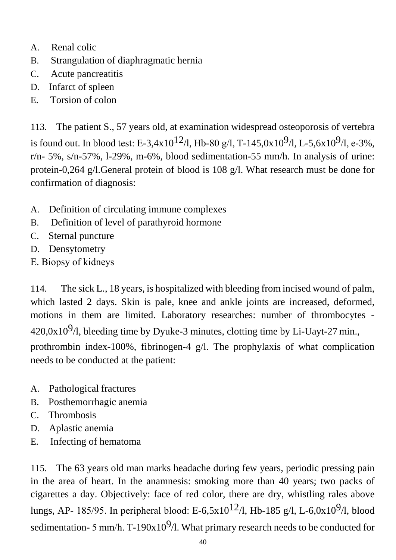- A. Renal colic
- B. Strangulation of diaphragmatic hernia
- C. Acute pancreatitis
- D. Infarct of spleen
- E. Torsion of colon

113. The patient S., 57 years old, at examination widespread osteoporosis of vertebra is found out. In blood test: E-3,4x10<sup>12</sup>/l, Hb-80 g/l, T-145,0x10<sup>9</sup>/l, L-5,6x10<sup>9</sup>/l, e-3%,  $r/n-5\%$ , s/n-57%, l-29%, m-6%, blood sedimentation-55 mm/h. In analysis of urine: protein-0,264 g/l.General protein of blood is 108 g/l. What research must be done for confirmation of diagnosis:

- A. Definition of circulating immune complexes
- B. Definition of level of parathyroid hormone
- C. Sternal puncture
- D. Densytometry
- Е. Biopsy of kidneys

114. The sick L., 18 years, is hospitalized with bleeding from incised wound of palm, which lasted 2 days. Skin is pale, knee and ankle joints are increased, deformed, motions in them are limited. Laboratory researches: number of thrombocytes -  $420,0x10<sup>9</sup>/l$ , bleeding time by Dyuke-3 minutes, clotting time by Li-Uayt-27 min., prothrombin index-100%, fibrinogen-4 g/l. The prophylaxis of what complication needs to be conducted at the patient:

- A. Pathological fractures
- B. Posthemorrhagic anemia
- C. Thrombosis
- D. Aplastic anemia
- E. Infecting of hematoma

115. The 63 years old man marks headache during few years, periodic pressing pain in the area of heart. In the anamnesis: smoking more than 40 years; two packs of cigarettes a day. Objectively: face of red color, there are dry, whistling rales above lungs, AP- 185/95. In peripheral blood: E-6,5x10<sup>12</sup>/l, Hb-185 g/l, L-6,0x10<sup>9</sup>/l, blood sedimentation- 5 mm/h. T-190x10<sup>9</sup>/l. What primary research needs to be conducted for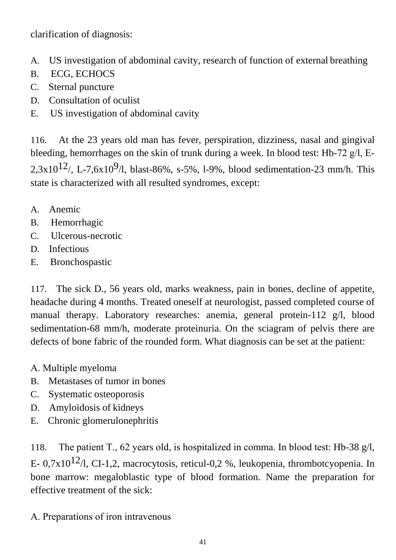clarification of diagnosis:

- A. US investigation of abdominal cavity, research of function of external breathing
- B. ECG, ECHOCS
- C. Sternal puncture
- D. Consultation of oculist
- E. US investigation of abdominal cavity

116. At the 23 years old man has fever, perspiration, dizziness, nasal and gingival bleeding, hemorrhages on the skin of trunk during a week. In blood test: Hb-72 g/l, Е-2,3x10<sup>12</sup>/, L-7,6x10<sup>9</sup>/l, blast-86%, s-5%, l-9%, blood sedimentation-23 mm/h. This state is characterized with all resulted syndromes, except:

- A. Anemic
- B. Hemorrhagic
- C. Ulcerous-necrotic
- D. Infectious
- E. Bronchospastic

117. The sick D., 56 years old, marks weakness, pain in bones, decline of appetite, headache during 4 months. Treated oneself at neurologist, passed completed course of manual therapy. Laboratory researches: anemia, general protein-112 g/l, blood sedimentation-68 mm/h, moderate proteinuria. On the sciagram of pelvis there are defects of bone fabric of the rounded form. What diagnosis can be set at the patient:

- А. Multiple myeloma
- B. Metastases of tumor in bones
- C. Systematic osteoporosis
- D. Amyloidosis of kidneys
- E. Chronic glomerulonephritis

118. The patient T., 62 years old, is hospitalized in comma. In blood test: Hb-38 g/l, E- 0,7x10<sup>12</sup>/l, CI-1,2, macrocytosis, reticul-0,2 %, leukopenia, thrombotcyopenia. In bone marrow: megaloblastic type of blood formation. Name the preparation for effective treatment of the sick:

## А. Preparations of iron intravenous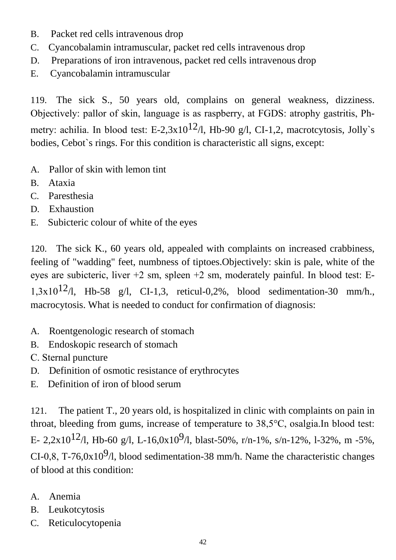- B. Packet red cells intravenous drop
- C. Cyancobalamin intramuscular, packet red cells intravenous drop
- D. Preparations of iron intravenous, packet red cells intravenous drop
- E. Cyancobalamin intramuscular

119. The sick S., 50 years old, complains on general weakness, dizziness. Objectively: pallor of skin, language is as raspberry, at FGDS: atrophy gastritis, Рhmetry: achilia. In blood test: E-2,3x10<sup>12</sup>/l, Hb-90 g/l, CI-1,2, macrotcytosis, Jolly's bodies, Cebot`s rings. For this condition is characteristic all signs, except:

- A. Pallor of skin with lemon tint
- B. Ataxia
- C. Paresthesia
- D. Exhaustion
- E. Subicteric colour of white of the eyes

120. The sick K., 60 years old, appealed with complaints on increased crabbiness, feeling of "wadding" feet, numbness of tiptoes.Objectively: skin is pale, white of the eyes are subicteric, liver +2 sm, spleen +2 sm, moderately painful. In blood test: Е-1,3x10<sup>12</sup>/l, Hb-58 g/l, CI-1,3, reticul-0,2%, blood sedimentation-30 mm/h., macrocytosis. What is needed to conduct for confirmation of diagnosis:

- A. Roentgenologic research of stomach
- B. Endoskopic research of stomach
- С. Sternal puncture
- D. Definition of osmotic resistance of erythrocytes
- E. Definition of iron of blood serum

121. The patient T., 20 years old, is hospitalized in clinic with complaints on pain in throat, bleeding from gums, increase of temperature to 38,5°С, osalgia.In blood test: E- 2,2x10<sup>12</sup>/l, Hb-60 g/l, L-16,0x10<sup>9</sup>/l, blast-50%, r/n-1%, s/n-12%, l-32%, m -5%, CI-0,8, T-76,0x10<sup>9</sup>/l, blood sedimentation-38 mm/h. Name the characteristic changes of blood at this condition:

- A. Anemia
- B. Leukotcytosis
- C. Reticulocytopenia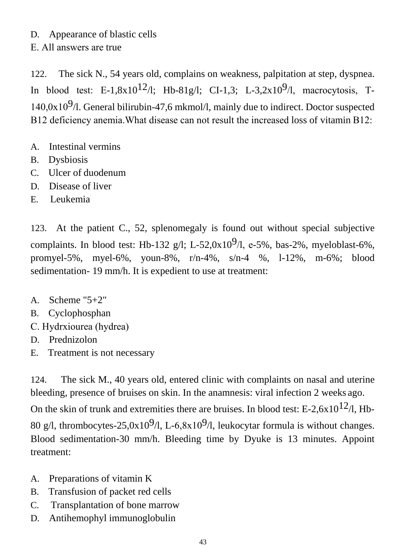#### D. Appearance of blastic cells

Е. All answers are true

122. The sick N., 54 years old, complains on weakness, palpitation at step, dyspnea. In blood test: E-1,8x10<sup>12</sup>/l; Hb-81g/l; CI-1,3; L-3,2x10<sup>9</sup>/l, macrocytosis, T- $140.0x10<sup>9</sup>/l$ . General bilirubin-47,6 mkmol/l, mainly due to indirect. Doctor suspected В12 deficiency anemia.What disease can not result the increased loss of vitamin В12:

- A. Intestinal vermins
- B. Dysbiosis
- C. Ulcer of duodenum
- D. Disease of liver
- E. Leukemia

123. At the patient C., 52, splenomegaly is found out without special subjective complaints. In blood test: Hb-132 g/l; L-52,0x10<sup>9</sup>/l, e-5%, bas-2%, myeloblast-6%, promyel-5%, myel-6%, youn-8%, r/n-4%, s/n-4 %, l-12%, m-6%; blood sedimentation- 19 mm/h. It is expedient to use at treatment:

- A. Scheme "5+2"
- B. Cyclophosphan
- С. Hydrxiourea (hydrea)
- D. Prednizolon
- E. Treatment is not necessary

124. The sick M., 40 years old, entered clinic with complaints on nasal and uterine bleeding, presence of bruises on skin. In the anamnesis: viral infection 2 weeks ago. On the skin of trunk and extremities there are bruises. In blood test: E-2,6x10<sup>12</sup>/l, Hb-80 g/l, thrombocytes-25,0x10<sup>9</sup>/l, L-6,8x10<sup>9</sup>/l, leukocytar formula is without changes. Blood sedimentation-30 mm/h. Bleeding time by Dyuke is 13 minutes. Appoint treatment:

- A. Preparations of vitamin K
- B. Transfusion of packet red cells
- C. Transplantation of bone marrow
- D. Antihemophyl immunoglobulin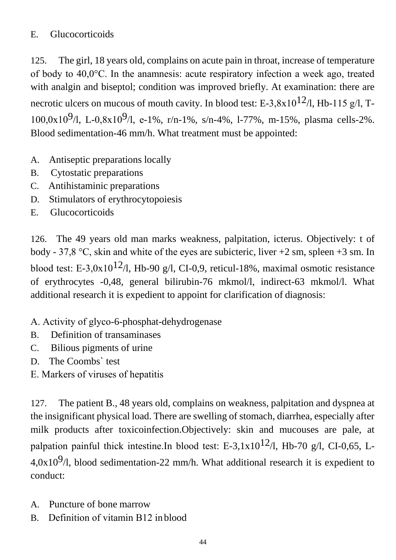## E. Glucocorticoids

125. The girl, 18 years old, complains on acute pain in throat, increase of temperature of body to 40,0°С. In the anamnesis: acute respiratory infection a week ago, treated with analgin and biseptol; condition was improved briefly. At examination: there are necrotic ulcers on mucous of mouth cavity. In blood test: E-3,8x10<sup>12</sup>/l, Hb-115 g/l, T-100,0x10<sup>9</sup>/l, L-0,8x10<sup>9</sup>/l, e-1%, r/n-1%, s/n-4%, l-77%, m-15%, plasma cells-2%. Blood sedimentation-46 mm/h. What treatment must be appointed:

- A. Antiseptic preparations locally
- B. Cytostatic preparations
- C. Antihistaminic preparations
- D. Stimulators of erythrocytopoiesis
- E. Glucocorticoids

126. The 49 years old man marks weakness, palpitation, icterus. Objectively: t of body - 37,8 °C, skin and white of the eyes are subicteric, liver  $+2$  sm, spleen  $+3$  sm. In blood test: E-3,0x10<sup>12</sup>/l, Hb-90 g/l, CI-0,9, reticul-18%, maximal osmotic resistance of erythrocytes -0,48, general bilirubin-76 mkmol/l, indirect-63 mkmol/l. What additional research it is expedient to appoint for clarification of diagnosis:

- А. Activity of glyco-6-phosphat-dehydrogenase
- B. Definition of transaminases
- C. Bilious pigments of urine
- D. The Coombs` test
- Е. Markers of viruses of hepatitis

127. The patient B., 48 years old, complains on weakness, palpitation and dyspnea at the insignificant physical load. There are swelling of stomach, diarrhea, especially after milk products after toxicoinfection.Objectively: skin and mucouses are pale, at palpation painful thick intestine.In blood test: E-3,1x10<sup>12</sup>/l, Hb-70 g/l, CI-0,65, L- $4.0x10<sup>9</sup>/l$ , blood sedimentation-22 mm/h. What additional research it is expedient to conduct:

- A. Puncture of bone marrow
- B. Definition of vitamin B12 in blood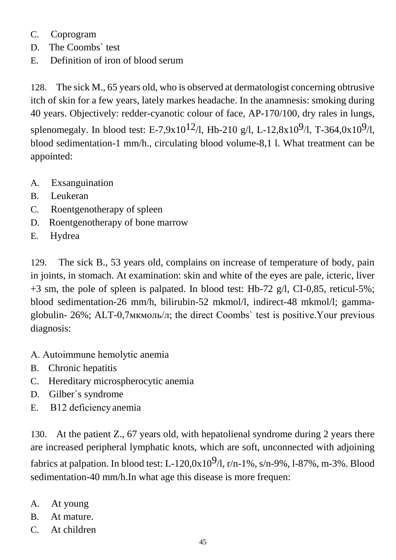- C. Coprogram
- D. The Coombs` test
- E. Definition of iron of blood serum

128. The sick M., 65 years old, who is observed at dermatologist concerning obtrusive itch of skin for a few years, lately markes headache. In the anamnesis: smoking during 40 years. Objectively: redder-cyanotic colour of face, AP-170/100, dry rales in lungs, splenomegaly. In blood test: E-7,9x10<sup>12</sup>/l, Hb-210 g/l, L-12,8x10<sup>9</sup>/l, T-364,0x10<sup>9</sup>/l, blood sedimentation-1 mm/h., circulating blood volume-8,1 l. What treatment can be appointed:

- A. Exsanguination
- B. Leukeran
- C. Roentgenotherapy of spleen
- D. Roentgenotherapy of bone marrow
- E. Hydrea

129. The sick B., 53 years old, complains on increase of temperature of body, pain in joints, in stomach. At examination: skin and white of the eyes are pale, icteric, liver +3 sm, the pole of spleen is palpated. In blood test: Hb-72 g/l, CI-0,85, reticul-5%; blood sedimentation-26 mm/h, bilirubin-52 mkmol/l, indirect-48 mkmol/l; gammaglobulin- 26%; ALT-0,7мкмоль/л; the direct Coombs` test is positive.Your previous diagnosis:

- А. Autoimmune hemolytic anemia
- B. Chronic hepatitis
- C. Hereditary microspherocytic anemia
- D. Gilber`s syndrome
- E. В12 deficiencyanemia

130. At the patient Z., 67 years old, with hepatolienal syndrome during 2 years there are increased peripheral lymphatic knots, which are soft, unconnected with adjoining fabrics at palpation. In blood test: L-120,0x10<sup>9</sup>/l, r/n-1%, s/n-9%, l-87%, m-3%. Blood sedimentation-40 mm/h.In what age this disease is more frequen:

- A. At young
- B. At mature.
- C. At children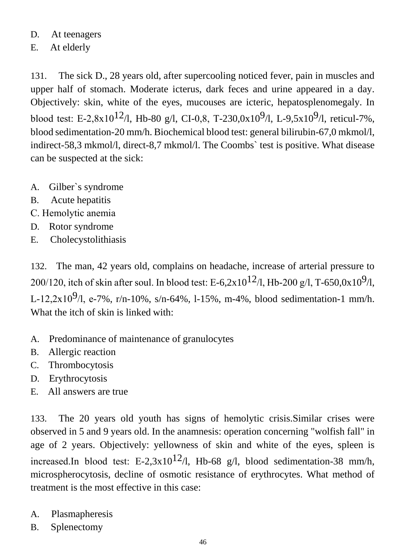#### D. At teenagers

#### E. At elderly

131. The sick D., 28 years old, after supercooling noticed fever, pain in muscles and upper half of stomach. Moderate icterus, dark feces and urine appeared in a day. Objectively: skin, white of the eyes, mucouses are icteric, hepatosplenomegaly. In blood test: E-2,8x10<sup>12</sup>/l, Hb-80 g/l, CI-0,8, T-230,0x10<sup>9</sup>/l, L-9,5x10<sup>9</sup>/l, reticul-7%, blood sedimentation-20 mm/h. Biochemical blood test: general bilirubin-67,0 mkmol/l, indirect-58,3 mkmol/l, direct-8,7 mkmol/l. The Coombs` test is positive. What disease can be suspected at the sick:

- A. Gilber`s syndrome
- B. Acute hepatitis
- С. Hemolytic anemia
- D. Rotor syndrome
- E. Cholecystolithiasis

132. The man, 42 years old, complains on headache, increase of arterial pressure to 200/120, itch of skin after soul. In blood test: E-6,2x10<sup>12</sup>/l, Hb-200 g/l, T-650,0x10<sup>9</sup>/l, L-12,2x10<sup>9</sup>/l, e-7%, r/n-10%, s/n-64%, l-15%, m-4%, blood sedimentation-1 mm/h. What the itch of skin is linked with:

- A. Predominance of maintenance of granulocytes
- B. Allergic reaction
- C. Thrombocytosis
- D. Erythrocytosis
- E. All answers are true

133. The 20 years old youth has signs of hemolytic crisis.Similar crises were observed in 5 and 9 years old. In the anamnesis: operation concerning "wolfish fall" in age of 2 years. Objectively: yellowness of skin and white of the eyes, spleen is increased.In blood test: E-2,3x10<sup>12</sup>/l, Hb-68 g/l, blood sedimentation-38 mm/h, microspherocytosis, decline of osmotic resistance of erythrocytes. What method of treatment is the most effective in this case:

- A. Plasmapheresis
- B. Splenectomy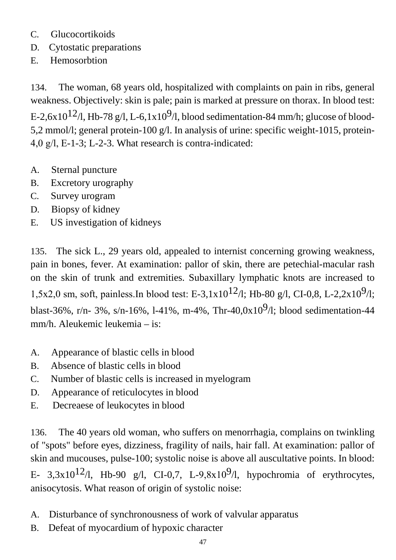- C. Glucocortikoids
- D. Cytostatic preparations
- E. Hemosorbtion

134. The woman, 68 years old, hospitalized with complaints on pain in ribs, general weakness. Objectively: skin is pale; pain is marked at pressure on thorax. In blood test: E-2,6x10<sup>12</sup>/l, Hb-78 g/l, L-6,1x10<sup>9</sup>/l, blood sedimentation-84 mm/h; glucose of blood-5,2 mmol/l; general protein-100 g/l. In analysis of urine: specific weight-1015, protein-4,0 g/l, Е-1-3; L-2-3. What research is contra-indicated:

- A. Sternal puncture
- B. Excretory urography
- C. Survey urogram
- D. Biopsy of kidney
- E. US investigation of kidneys

135. The sick L., 29 years old, appealed to internist concerning growing weakness, pain in bones, fever. At examination: pallor of skin, there are petechial-macular rash on the skin of trunk and extremities. Subaxillary lymphatic knots are increased to 1,5x2,0 sm, soft, painless.In blood test: E-3,1x10<sup>12</sup>/l; Hb-80 g/l, CI-0,8, L-2,2x10<sup>9</sup>/l; blast-36%, r/n- 3%, s/n-16%, l-41%, m-4%, Thr-40,0x10<sup>9</sup>/l; blood sedimentation-44 mm/h. Aleukemic leukemia – is:

- A. Appearance of blastic cells in blood
- B. Absence of blastic cells in blood
- C. Number of blastic cells is increased in myelogram
- D. Appearance of reticulocytes in blood
- E. Decreaese of leukocytes in blood

136. The 40 years old woman, who suffers on menorrhagia, complains on twinkling of "spots" before eyes, dizziness, fragility of nails, hair fall. At examination: pallor of skin and mucouses, pulse-100; systolic noise is above all auscultative points. In blood: E- 3,3x10<sup>12</sup>/l, Hb-90 g/l, CI-0,7, L-9,8x10<sup>9</sup>/l, hypochromia of erythrocytes, anisocytosis. What reason of origin of systolic noise:

- A. Disturbance of synchronousness of work of valvular apparatus
- B. Defeat of myocardium of hypoxic character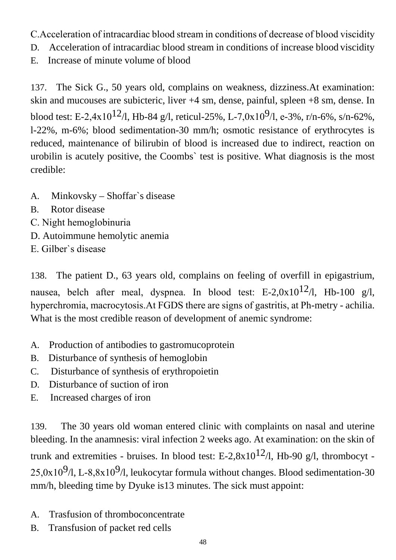- С.Acceleration of intracardiac blood stream in conditions of decrease of blood viscidity
- D. Acceleration of intracardiac blood stream in conditions of increase blood viscidity
- E. Increase of minute volume of blood

137. The Sick G., 50 years old, complains on weakness, dizziness.At examination: skin and mucouses are subicteric, liver +4 sm, dense, painful, spleen +8 sm, dense. In blood test: E-2,4x10<sup>12</sup>/l, Hb-84 g/l, reticul-25%, L-7,0x10<sup>9</sup>/l, e-3%, r/n-6%, s/n-62%, l-22%, m-6%; blood sedimentation-30 mm/h; osmotic resistance of erythrocytes is reduced, maintenance of bilirubin of blood is increased due to indirect, reaction on urobilin is acutely positive, the Coombs` test is positive. What diagnosis is the most credible:

- A. Minkovsky Shoffar`s disease
- B. Rotor disease
- С. Night hemoglobinuria
- D. Autoimmune hemolytic anemia
- Е. Gilber`s disease

138. The patient D., 63 years old, complains on feeling of overfill in epigastrium, nausea, belch after meal, dyspnea. In blood test: E-2,0x10<sup>12</sup>/l, Hb-100 g/l, hyperchromia, macrocytosis.At FGDS there are signs of gastritis, at Рh-metry - achilia. What is the most credible reason of development of anemic syndrome:

- A. Production of antibodies to gastromucoprotein
- B. Disturbance of synthesis of hemoglobin
- C. Disturbance of synthesis of erythropoietin
- D. Disturbance of suction of iron
- E. Increased charges of iron

139. The 30 years old woman entered clinic with complaints on nasal and uterine bleeding. In the anamnesis: viral infection 2 weeks ago. At examination: on the skin of trunk and extremities - bruises. In blood test: E-2,8x10<sup>12</sup>/l, Hb-90 g/l, thrombocyt - $25,0x10<sup>9</sup>/l$ , L-8,8x10<sup>9</sup>/l, leukocytar formula without changes. Blood sedimentation-30 mm/h, bleeding time by Dyuke is13 minutes. The sick must appoint:

- A. Trasfusion of thromboconcentrate
- B. Transfusion of packet red cells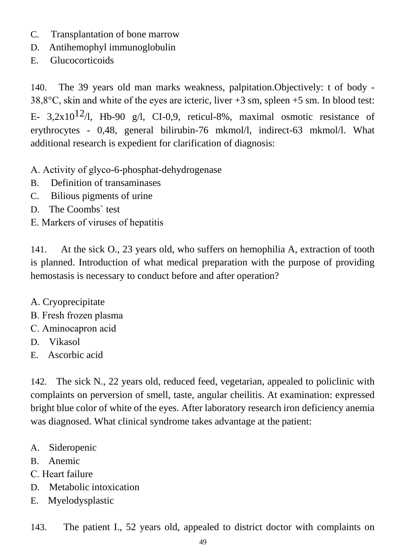- C. Transplantation of bone marrow
- D. Antihemophyl immunoglobulin
- E. Glucocorticoids

140. The 39 years old man marks weakness, palpitation.Objectively: t of body - 38,8°С, skin and white of the eyes are icteric, liver +3 sm, spleen +5 sm. In blood test: E- 3,2x10<sup>12</sup>/l, Hb-90 g/l, CI-0,9, reticul-8%, maximal osmotic resistance of erythrocytes - 0,48, general bilirubin-76 mkmol/l, indirect-63 mkmol/l. What additional research is expedient for clarification of diagnosis:

- А. Activity of glyco-6-phosphat-dehydrogenase
- B. Definition of transaminases
- C. Bilious pigments of urine
- D. The Coombs` test
- Е. Markers of viruses of hepatitis

141. At the sick O., 23 years old, who suffers on hemophilia A, extraction of tooth is planned. Introduction of what medical preparation with the purpose of providing hemostasis is necessary to conduct before and after operation?

- A. Cryoprecipitate
- В. Fresh frozen plasma
- С. Aminocapron acid
- D. Vikasol
- E. Ascorbic acid

142. The sick N., 22 years old, reduced feed, vegetarian, appealed to policlinic with complaints on perversion of smell, taste, angular cheilitis. At examination: expressed bright blue color of white of the eyes. After laboratory research iron deficiency anemia was diagnosed. What clinical syndrome takes advantage at the patient:

- A. Sideropenic
- B. Anemic
- С. Heart failure
- D. Metabolic intoxication
- E. Myelodysplastic

143. The patient I., 52 years old, appealed to district doctor with complaints on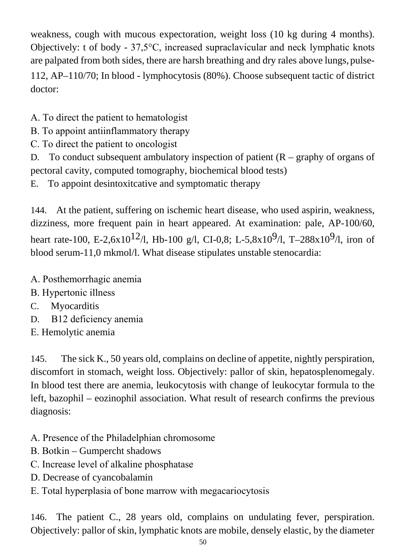weakness, cough with mucous expectoration, weight loss (10 kg during 4 months). Objectively: t of body - 37,5°С, increased supraclavicular and neck lymphatic knots are palpated from both sides, there are harsh breathing and dry rales above lungs, pulse-112, AP–110/70; In blood - lymphocytosis (80%). Choose subsequent tactic of district doctor:

А. To direct the patient to hematologist

- В. To appoint antiinflammatory therapy
- С. To direct the patient to oncologist

D. To conduct subsequent ambulatory inspection of patient  $(R - graphy)$  of organs of pectoral cavity, computed tomography, biochemical blood tests)

E. To appoint desintoxitcative and symptomatic therapy

144. At the patient, suffering on ischemic heart disease, who used aspirin, weakness, dizziness, more frequent pain in heart appeared. At examination: pale, AP-100/60, heart rate-100, E-2,6x10<sup>12</sup>/l, Hb-100 g/l, CI-0,8; L-5,8x10<sup>9</sup>/l, T-288x10<sup>9</sup>/l, iron of blood serum-11,0 mkmol/l. What disease stipulates unstable stenocardia:

- А. Posthemorrhagic anemia
- В. Hypertonic illness
- C. Myocarditis
- D. В12 deficiency anemia
- Е. Hemolytic anemia

145. The sick K., 50 years old, complains on decline of appetite, nightly perspiration, discomfort in stomach, weight loss. Objectively: pallor of skin, hepatosplenomegaly. In blood test there are anemia, leukocytosis with change of leukocytar formula to the left, bazophil – eozinophil association. What result of research confirms the previous diagnosis:

- А. Presence of the Philadelphian chromosome
- В. Botkin Gumpercht shadows
- С. Increase level of alkaline phosphatase
- D. Decrease of cyancobalamin
- Е. Total hyperplasia of bone marrow with megacariocytosis

146. The patient C., 28 years old, complains on undulating fever, perspiration. Objectively: pallor of skin, lymphatic knots are mobile, densely elastic, by the diameter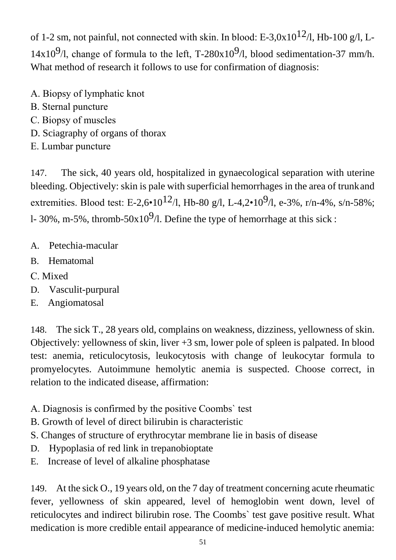of 1-2 sm, not painful, not connected with skin. In blood: E-3,0x10<sup>12</sup>/l, Hb-100 g/l, L-14x10<sup>9</sup>/l, change of formula to the left, T-280x10<sup>9</sup>/l, blood sedimentation-37 mm/h. What method of research it follows to use for confirmation of diagnosis:

- А. Biopsy of lymphatic knot
- В. Sternal puncture
- С. Biopsy of muscles
- D. Sciagraphy of organs of thorax
- Е. Lumbar puncture

147. The sick, 40 years old, hospitalized in gynaecological separation with uterine bleeding. Objectively: skin is pale with superficial hemorrhages in the area of trunkand extremities. Blood test: E-2,6•10<sup>12</sup>/l, Hb-80 g/l, L-4,2•10<sup>9</sup>/l, e-3%, r/n-4%, s/n-58%; l- 30%, m-5%, thromb-50x10<sup>9</sup>/l. Define the type of hemorrhage at this sick :

- A. Petechia-macular
- B. Hematomal
- С. Mixed
- D. Vasculit-purpural
- E. Angiomatosal

148. The sick T., 28 years old, complains on weakness, dizziness, yellowness of skin. Objectively: yellowness of skin, liver +3 sm, lower pole of spleen is palpated. In blood test: anemia, reticulocytosis, leukocytosis with change of leukocytar formula to promyelocytes. Autoimmune hemolytic anemia is suspected. Choose correct, in relation to the indicated disease, affirmation:

- А. Diagnosis is confirmed by the positive Coombs` test
- B. Growth of level of direct bilirubin is characteristic
- S. Changes of structure of erythrocytar membrane lie in basis of disease
- D. Hypoplasia of red link in trepanobioptate
- E. Increase of level of alkaline phosphatase

149. At the sick O., 19 years old, on the 7 day of treatment concerning acute rheumatic fever, yellowness of skin appeared, level of hemoglobin went down, level of reticulocytes and indirect bilirubin rose. The Coombs` test gave positive result. What medication is more credible entail appearance of medicine-induced hemolytic anemia: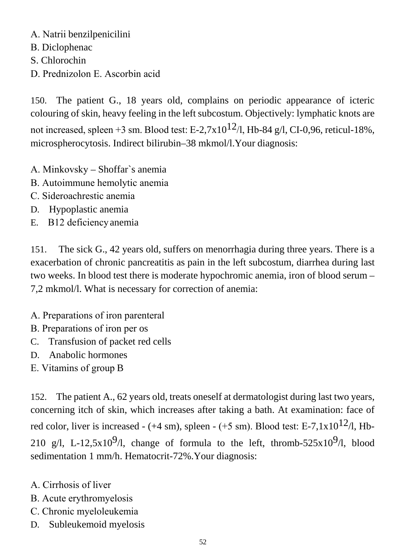А. Natrii benzilpenicilini В. Diclophenac S. Chlorochin D. Prednizolon Е. Ascorbin acid

150. The patient G., 18 years old, complains on periodic appearance of icteric colouring of skin, heavy feeling in the left subcostum. Objectively: lymphatic knots are not increased, spleen +3 sm. Blood test: E-2,7x10<sup>12</sup>/l, Hb-84 g/l, CI-0,96, reticul-18%, microspherocytosis. Indirect bilirubin–38 mkmol/l.Your diagnosis:

- А. Minkovsky Shoffar`s anemia
- В. Autoimmune hemolytic anemia
- С. Sideroachrestic anemia
- D. Hypoplastic anemia
- E. В12 deficiencyanemia

151. The sick G., 42 years old, suffers on menorrhagia during three years. There is a exacerbation of chronic pancreatitis as pain in the left subcostum, diarrhea during last two weeks. In blood test there is moderate hypochromic anemia, iron of blood serum – 7,2 mkmol/l. What is necessary for correction of anemia:

- А. Preparations of iron parenteral
- В. Preparations of iron per os
- C. Transfusion of packet red cells
- D. Anabolic hormones
- Е. Vitamins of group B

152. The patient A., 62 years old, treats oneself at dermatologist during last two years, concerning itch of skin, which increases after taking a bath. At examination: face of red color, liver is increased - (+4 sm), spleen - (+5 sm). Blood test: E-7,1x10<sup>12</sup>/l, Hb-210 g/l, L-12,5x10<sup>9</sup>/l, change of formula to the left, thromb-525x10<sup>9</sup>/l, blood sedimentation 1 mm/h. Hematocrit-72%.Your diagnosis:

- А. Cirrhosis of liver
- В. Acute erythromyelosis
- С. Chronic myeloleukemia
- D. Subleukemoid myelosis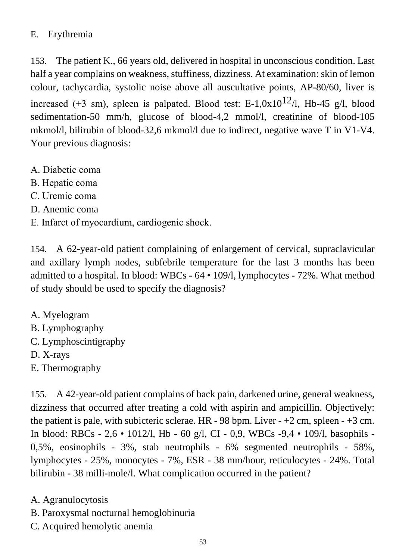## E. Erythremia

153. The patient K., 66 years old, delivered in hospital in unconscious condition. Last half a year complains on weakness, stuffiness, dizziness. At examination: skin of lemon colour, tachycardia, systolic noise above all auscultative points, AP-80/60, liver is increased (+3 sm), spleen is palpated. Blood test: E-1,0x10<sup>12</sup>/l, Hb-45 g/l, blood sedimentation-50 mm/h, glucose of blood-4,2 mmol/l, creatinine of blood-105 mkmol/l, bilirubin of blood-32,6 mkmol/l due to indirect, negative wave T in V1-V4. Your previous diagnosis:

- А. Diabetic coma
- В. Hepatic coma
- С. Uremic coma
- D. Anemic coma
- Е. Infarct of myocardium, cardiogenic shock.

154. A 62-year-old patient complaining of enlargement of cervical, supraclavicular and axillary lymph nodes, subfebrile temperature for the last 3 months has been admitted to a hospital. In blood: WBCs - 64 • 109/l, lymphocytes - 72%. What method of study should be used to specify the diagnosis?

- A. Myelogram
- B. Lymphography
- C. Lymphoscintigraphy
- D. X-rays
- E. Thermography

155. A 42-year-old patient complains of back pain, darkened urine, general weakness, dizziness that occurred after treating a cold with aspirin and ampicillin. Objectively: the patient is pale, with subicteric sclerae. HR - 98 bpm. Liver  $-+2$  cm, spleen  $-+3$  cm. In blood: RBCs - 2,6 • 1012/l, Hb - 60 g/l, CI - 0,9, WBCs -9,4 • 109/l, basophils - 0,5%, eosinophils - 3%, stab neutrophils - 6% segmented neutrophils - 58%, lymphocytes - 25%, monocytes - 7%, ESR - 38 mm/hour, reticulocytes - 24%. Total bilirubin - 38 milli-mole/l. What complication occurred in the patient?

- A. Agranulocytosis
- B. Paroxysmal nocturnal hemoglobinuria
- C. Acquired hemolytic anemia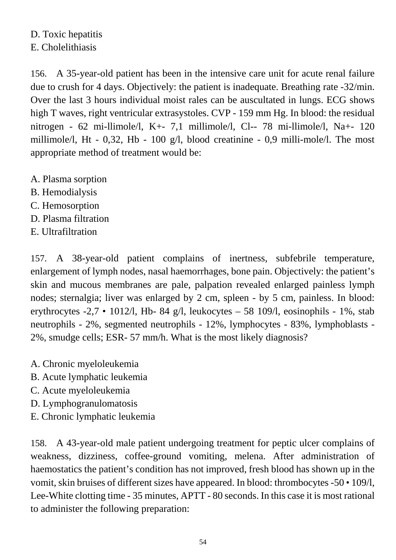## D. Toxic hepatitis E. Cholelithiasis

156. A 35-year-old patient has been in the intensive care unit for acute renal failure due to crush for 4 days. Objectively: the patient is inadequate. Breathing rate -32/min. Over the last 3 hours individual moist rales can be auscultated in lungs. ECG shows high T waves, right ventricular extrasystoles. CVP - 159 mm Hg. In blood: the residual nitrogen - 62 mi-llimole/l, K+- 7,1 millimole/l, Cl-- 78 mi-llimole/l, Na+- 120 millimole/l, Ht - 0,32, Hb - 100 g/l, blood creatinine - 0,9 milli-mole/l. The most appropriate method of treatment would be:

- A. Plasma sorption
- B. Hemodialysis
- C. Hemosorption
- D. Plasma filtration
- E. Ultrafiltration

157. A 38-year-old patient complains of inertness, subfebrile temperature, enlargement of lymph nodes, nasal haemorrhages, bone pain. Objectively: the patient's skin and mucous membranes are pale, palpation revealed enlarged painless lymph nodes; sternalgia; liver was enlarged by 2 cm, spleen - by 5 cm, painless. In blood: erythrocytes  $-2.7 \cdot 1012/1$ , Hb- 84 g/l, leukocytes – 58 109/l, eosinophils - 1%, stab neutrophils - 2%, segmented neutrophils - 12%, lymphocytes - 83%, lymphoblasts - 2%, smudge cells; ESR- 57 mm/h. What is the most likely diagnosis?

- A. Chronic myeloleukemia
- B. Acute lymphatic leukemia
- C. Acute myeloleukemia
- D. Lymphogranulomatosis
- E. Chronic lymphatic leukemia

158. A 43-year-old male patient undergoing treatment for peptic ulcer complains of weakness, dizziness, coffee-ground vomiting, melena. After administration of haemostatics the patient's condition has not improved, fresh blood has shown up in the vomit, skin bruises of different sizes have appeared. In blood: thrombocytes -50 • 109/l, Lee-White clotting time - 35 minutes, APTT - 80 seconds. In this case it is most rational to administer the following preparation: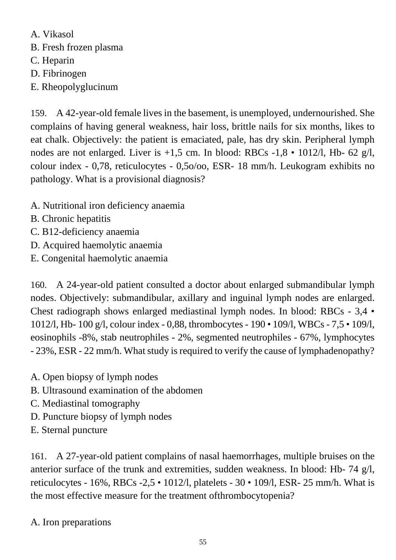A. Vikasol B. Fresh frozen plasma C. Heparin D. Fibrinogen E. Rheopolyglucinum

159. A 42-year-old female lives in the basement, is unemployed, undernourished. She complains of having general weakness, hair loss, brittle nails for six months, likes to eat chalk. Objectively: the patient is emaciated, pale, has dry skin. Peripheral lymph nodes are not enlarged. Liver is  $+1,5$  cm. In blood: RBCs  $-1,8 \cdot 1012/1$ , Hb- 62 g/l, colour index - 0,78, reticulocytes - 0,5o/oo, ESR- 18 mm/h. Leukogram exhibits no pathology. What is a provisional diagnosis?

- A. Nutritional iron deficiency anaemia
- B. Chronic hepatitis
- C. B12-deficiency anaemia
- D. Acquired haemolytic anaemia
- E. Congenital haemolytic anaemia

160. A 24-year-old patient consulted a doctor about enlarged submandibular lymph nodes. Objectively: submandibular, axillary and inguinal lymph nodes are enlarged. Chest radiograph shows enlarged mediastinal lymph nodes. In blood: RBCs - 3,4 • 1012/l, Hb- 100 g/l, colour index - 0,88, thrombocytes - 190 • 109/l, WBCs - 7,5 • 109/l, eosinophils -8%, stab neutrophiles - 2%, segmented neutrophiles - 67%, lymphocytes - 23%, ESR - 22 mm/h. What study is required to verify the cause of lymphadenopathy?

- A. Open biopsy of lymph nodes
- B. Ultrasound examination of the abdomen
- C. Mediastinal tomography
- D. Puncture biopsy of lymph nodes
- E. Sternal puncture

161. A 27-year-old patient complains of nasal haemorrhages, multiple bruises on the anterior surface of the trunk and extremities, sudden weakness. In blood: Hb- 74 g/l, reticulocytes - 16%, RBCs -2,5 • 1012/l, platelets - 30 • 109/l, ESR- 25 mm/h. What is the most effective measure for the treatment ofthrombocytopenia?

#### A. Iron preparations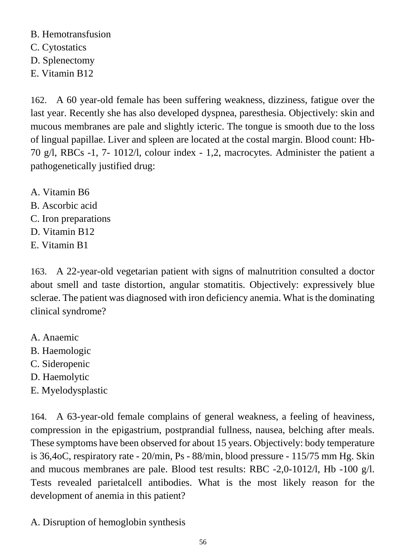B. Hemotransfusion

- C. Cytostatics
- D. Splenectomy
- E. Vitamin B12

162. A 60 year-old female has been suffering weakness, dizziness, fatigue over the last year. Recently she has also developed dyspnea, paresthesia. Objectively: skin and mucous membranes are pale and slightly icteric. The tongue is smooth due to the loss of lingual papillae. Liver and spleen are located at the costal margin. Blood count: Hb-70 g/l, RBCs -1, 7- 1012/l, colour index - 1,2, macrocytes. Administer the patient a pathogenetically justified drug:

- A. Vitamin B6
- B. Ascorbic acid
- C. Iron preparations
- D. Vitamin B12
- E. Vitamin B1

163. A 22-year-old vegetarian patient with signs of malnutrition consulted a doctor about smell and taste distortion, angular stomatitis. Objectively: expressively blue sclerae. The patient was diagnosed with iron deficiency anemia. What is the dominating clinical syndrome?

- A. Anaemic
- B. Haemologic
- C. Sideropenic
- D. Haemolytic
- E. Myelodysplastic

164. A 63-year-old female complains of general weakness, a feeling of heaviness, compression in the epigastrium, postprandial fullness, nausea, belching after meals. These symptoms have been observed for about 15 years. Objectively: body temperature is 36,4oC, respiratory rate - 20/min, Ps - 88/min, blood pressure - 115/75 mm Hg. Skin and mucous membranes are pale. Blood test results: RBC -2,0-1012/l, Hb -100 g/l. Tests revealed parietalcell antibodies. What is the most likely reason for the development of anemia in this patient?

A. Disruption of hemoglobin synthesis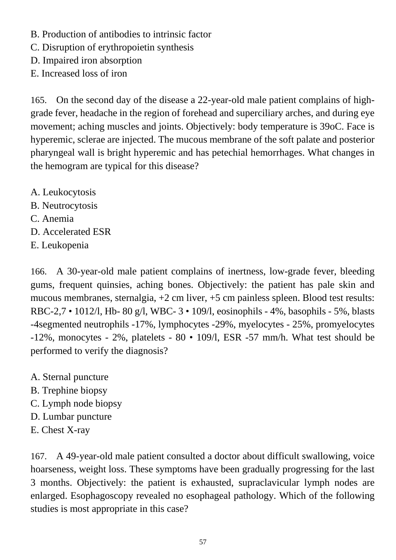- B. Production of antibodies to intrinsic factor
- C. Disruption of erythropoietin synthesis
- D. Impaired iron absorption
- E. Increased loss of iron

165. On the second day of the disease a 22-year-old male patient complains of highgrade fever, headache in the region of forehead and superciliary arches, and during eye movement; aching muscles and joints. Objectively: body temperature is 39oC. Face is hyperemic, sclerae are injected. The mucous membrane of the soft palate and posterior pharyngeal wall is bright hyperemic and has petechial hemorrhages. What changes in the hemogram are typical for this disease?

- A. Leukocytosis
- B. Neutrocytosis
- C. Anemia
- D. Accelerated ESR
- E. Leukopenia

166. A 30-year-old male patient complains of inertness, low-grade fever, bleeding gums, frequent quinsies, aching bones. Objectively: the patient has pale skin and mucous membranes, sternalgia, +2 cm liver, +5 cm painless spleen. Blood test results: RBC-2,7 • 1012/l, Hb- 80 g/l, WBC- 3 • 109/l, eosinophils - 4%, basophils - 5%, blasts -4segmented neutrophils -17%, lymphocytes -29%, myelocytes - 25%, promyelocytes -12%, monocytes - 2%, platelets - 80 • 109/l, ESR -57 mm/h. What test should be performed to verify the diagnosis?

- A. Sternal puncture
- B. Trephine biopsy
- C. Lymph node biopsy
- D. Lumbar puncture
- E. Chest X-ray

167. A 49-year-old male patient consulted a doctor about difficult swallowing, voice hoarseness, weight loss. These symptoms have been gradually progressing for the last 3 months. Objectively: the patient is exhausted, supraclavicular lymph nodes are enlarged. Esophagoscopy revealed no esophageal pathology. Which of the following studies is most appropriate in this case?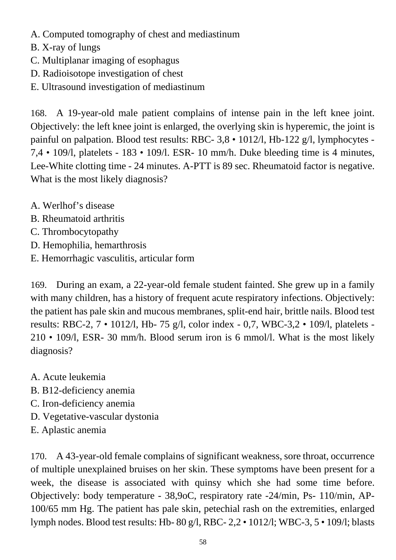- A. Computed tomography of chest and mediastinum
- B. X-ray of lungs
- C. Multiplanar imaging of esophagus
- D. Radioisotope investigation of chest
- E. Ultrasound investigation of mediastinum

168. A 19-year-old male patient complains of intense pain in the left knee joint. Objectively: the left knee joint is enlarged, the overlying skin is hyperemic, the joint is painful on palpation. Blood test results: RBC- 3,8 • 1012/l, Hb-122 g/l, lymphocytes - 7,4 • 109/l, platelets - 183 • 109/l. ESR- 10 mm/h. Duke bleeding time is 4 minutes, Lee-White clotting time - 24 minutes. A-PTT is 89 sec. Rheumatoid factor is negative. What is the most likely diagnosis?

- A. Werlhof's disease
- B. Rheumatoid arthritis
- C. Thrombocytopathy
- D. Hemophilia, hemarthrosis
- E. Hemorrhagic vasculitis, articular form

169. During an exam, a 22-year-old female student fainted. She grew up in a family with many children, has a history of frequent acute respiratory infections. Objectively: the patient has pale skin and mucous membranes, split-end hair, brittle nails. Blood test results: RBC-2, 7 • 1012/l, Hb- 75 g/l, color index - 0,7, WBC-3,2 • 109/l, platelets - 210 • 109/l, ESR- 30 mm/h. Blood serum iron is 6 mmol/l. What is the most likely diagnosis?

- A. Acute leukemia
- B. B12-deficiency anemia
- C. Iron-deficiency anemia
- D. Vegetative-vascular dystonia
- E. Aplastic anemia

170. A 43-year-old female complains of significant weakness, sore throat, occurrence of multiple unexplained bruises on her skin. These symptoms have been present for a week, the disease is associated with quinsy which she had some time before. Objectively: body temperature - 38,9oC, respiratory rate -24/min, Ps- 110/min, AP-100/65 mm Hg. The patient has pale skin, petechial rash on the extremities, enlarged lymph nodes. Blood test results: Hb- 80 g/l, RBC- 2,2 • 1012/l; WBC-3, 5 • 109/l; blasts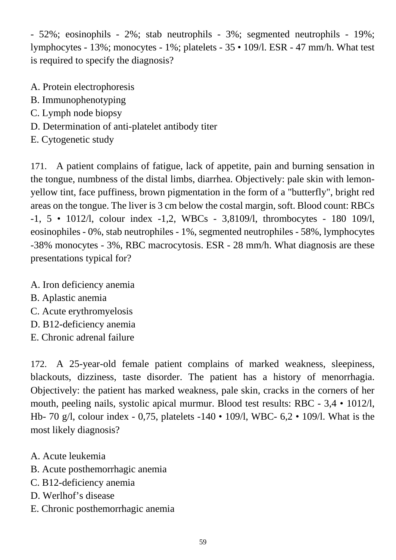- 52%; eosinophils - 2%; stab neutrophils - 3%; segmented neutrophils - 19%; lymphocytes - 13%; monocytes - 1%; platelets - 35 • 109/l. ESR - 47 mm/h. What test is required to specify the diagnosis?

- A. Protein electrophoresis
- B. Immunophenotyping
- C. Lymph node biopsy
- D. Determination of anti-platelet antibody titer
- E. Cytogenetic study

171. A patient complains of fatigue, lack of appetite, pain and burning sensation in the tongue, numbness of the distal limbs, diarrhea. Objectively: pale skin with lemonyellow tint, face puffiness, brown pigmentation in the form of a "butterfly", bright red areas on the tongue. The liver is 3 cm below the costal margin, soft. Blood count: RBCs -1, 5 • 1012/l, colour index -1,2, WBCs - 3,8109/l, thrombocytes - 180 109/l, eosinophiles - 0%, stab neutrophiles - 1%, segmented neutrophiles - 58%, lymphocytes -38% monocytes - 3%, RBC macrocytosis. ESR - 28 mm/h. What diagnosis are these presentations typical for?

- A. Iron deficiency anemia
- B. Aplastic anemia
- C. Acute erythromyelosis
- D. B12-deficiency anemia
- E. Chronic adrenal failure

172. A 25-year-old female patient complains of marked weakness, sleepiness, blackouts, dizziness, taste disorder. The patient has a history of menorrhagia. Objectively: the patient has marked weakness, pale skin, cracks in the corners of her mouth, peeling nails, systolic apical murmur. Blood test results: RBC - 3,4 • 1012/l, Hb- 70 g/l, colour index - 0,75, platelets -140 • 109/l, WBC- 6,2 • 109/l. What is the most likely diagnosis?

- A. Acute leukemia
- B. Acute posthemorrhagic anemia
- C. B12-deficiency anemia
- D. Werlhof's disease
- E. Chronic posthemorrhagic anemia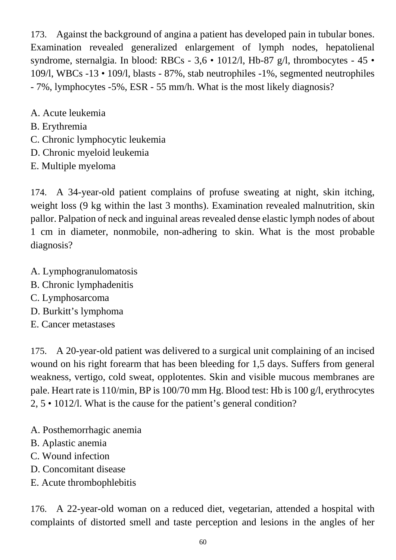173. Against the background of angina a patient has developed pain in tubular bones. Examination revealed generalized enlargement of lymph nodes, hepatolienal syndrome, sternalgia. In blood: RBCs - 3,6 • 1012/l, Hb-87 g/l, thrombocytes - 45 • 109/l, WBCs -13 • 109/l, blasts - 87%, stab neutrophiles -1%, segmented neutrophiles - 7%, lymphocytes -5%, ESR - 55 mm/h. What is the most likely diagnosis?

- A. Acute leukemia
- B. Erythremia
- C. Chronic lymphocytic leukemia
- D. Chronic myeloid leukemia
- E. Multiple myeloma

174. A 34-year-old patient complains of profuse sweating at night, skin itching, weight loss (9 kg within the last 3 months). Examination revealed malnutrition, skin pallor. Palpation of neck and inguinal areas revealed dense elastic lymph nodes of about 1 cm in diameter, nonmobile, non-adhering to skin. What is the most probable diagnosis?

- A. Lymphogranulomatosis
- B. Chronic lymphadenitis
- C. Lymphosarcoma
- D. Burkitt's lymphoma
- E. Cancer metastases

175. A 20-year-old patient was delivered to a surgical unit complaining of an incised wound on his right forearm that has been bleeding for 1,5 days. Suffers from general weakness, vertigo, cold sweat, opplotentes. Skin and visible mucous membranes are pale. Heart rate is 110/min, BP is 100/70 mm Hg. Blood test: Hb is 100 g/l, erythrocytes 2, 5 • 1012/l. What is the cause for the patient's general condition?

- A. Posthemorrhagic anemia
- B. Aplastic anemia
- C. Wound infection
- D. Concomitant disease
- E. Acute thrombophlebitis

176. A 22-year-old woman on a reduced diet, vegetarian, attended a hospital with complaints of distorted smell and taste perception and lesions in the angles of her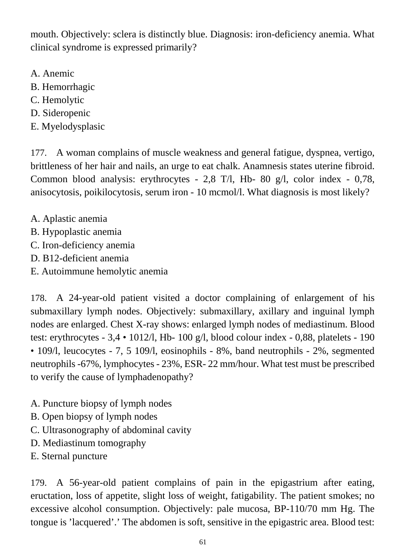mouth. Objectively: sclera is distinctly blue. Diagnosis: iron-deficiency anemia. What clinical syndrome is expressed primarily?

- A. Anemic
- B. Hemorrhagic
- C. Hemolytic
- D. Sideropenic
- E. Myelodysplasic

177. A woman complains of muscle weakness and general fatigue, dyspnea, vertigo, brittleness of her hair and nails, an urge to eat chalk. Anamnesis states uterine fibroid. Common blood analysis: erythrocytes - 2,8 T/l, Hb- 80 g/l, color index - 0,78, anisocytosis, poikilocytosis, serum iron - 10 mcmol/l. What diagnosis is most likely?

- A. Aplastic anemia
- B. Hypoplastic anemia
- C. Iron-deficiency anemia
- D. B12-deficient anemia
- E. Autoimmune hemolytic anemia

178. A 24-year-old patient visited a doctor complaining of enlargement of his submaxillary lymph nodes. Objectively: submaxillary, axillary and inguinal lymph nodes are enlarged. Chest X-ray shows: enlarged lymph nodes of mediastinum. Blood test: erythrocytes - 3,4 • 1012/l, Hb- 100 g/l, blood colour index - 0,88, platelets - 190 • 109/l, leucocytes - 7, 5 109/l, eosinophils - 8%, band neutrophils - 2%, segmented neutrophils -67%, lymphocytes - 23%, ESR- 22 mm/hour. What test must be prescribed to verify the cause of lymphadenopathy?

- A. Puncture biopsy of lymph nodes
- B. Open biopsy of lymph nodes
- C. Ultrasonography of abdominal cavity
- D. Mediastinum tomography
- E. Sternal puncture

179. A 56-year-old patient complains of pain in the epigastrium after eating, eructation, loss of appetite, slight loss of weight, fatigability. The patient smokes; no excessive alcohol consumption. Objectively: pale mucosa, BP-110/70 mm Hg. The tongue is 'lacquered'.' The abdomen is soft, sensitive in the epigastric area. Blood test: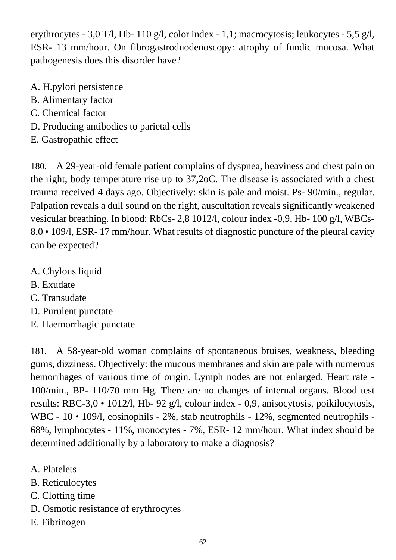erythrocytes - 3,0 T/l, Hb- 110 g/l, color index - 1,1; macrocytosis; leukocytes - 5,5 g/l, ESR- 13 mm/hour. On fibrogastroduodenoscopy: atrophy of fundic mucosa. What pathogenesis does this disorder have?

- A. H.pylori persistence
- B. Alimentary factor
- C. Chemical factor
- D. Producing antibodies to parietal cells
- E. Gastropathic effect

180. A 29-year-old female patient complains of dyspnea, heaviness and chest pain on the right, body temperature rise up to 37,2oC. The disease is associated with a chest trauma received 4 days ago. Objectively: skin is pale and moist. Ps- 90/min., regular. Palpation reveals a dull sound on the right, auscultation reveals significantly weakened vesicular breathing. In blood: RbCs- 2,8 1012/l, colour index -0,9, Hb- 100 g/l, WBCs-8,0 • 109/l, ESR- 17 mm/hour. What results of diagnostic puncture of the pleural cavity can be expected?

- A. Chylous liquid
- B. Exudate
- C. Transudate
- D. Purulent punctate
- E. Haemorrhagic punctate

181. A 58-year-old woman complains of spontaneous bruises, weakness, bleeding gums, dizziness. Objectively: the mucous membranes and skin are pale with numerous hemorrhages of various time of origin. Lymph nodes are not enlarged. Heart rate - 100/min., BP- 110/70 mm Hg. There are no changes of internal organs. Blood test results: RBC-3,0 • 1012/l, Hb- 92 g/l, colour index - 0,9, anisocytosis, poikilocytosis, WBC - 10 • 109/l, eosinophils - 2%, stab neutrophils - 12%, segmented neutrophils -68%, lymphocytes - 11%, monocytes - 7%, ESR- 12 mm/hour. What index should be determined additionally by a laboratory to make a diagnosis?

- A. Platelets
- B. Reticulocytes
- C. Clotting time
- D. Osmotic resistance of erythrocytes
- E. Fibrinogen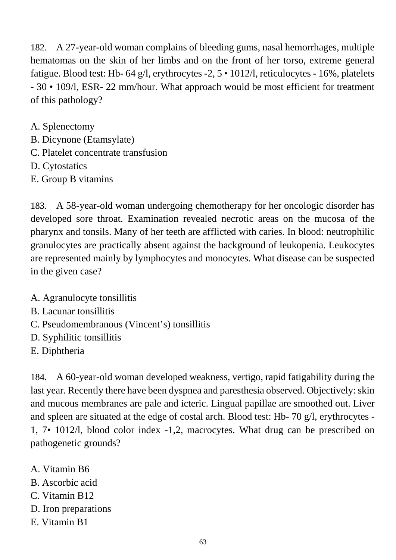182. A 27-year-old woman complains of bleeding gums, nasal hemorrhages, multiple hematomas on the skin of her limbs and on the front of her torso, extreme general fatigue. Blood test: Hb- 64 g/l, erythrocytes -2, 5 • 1012/l, reticulocytes - 16%, platelets - 30 • 109/l, ESR- 22 mm/hour. What approach would be most efficient for treatment of this pathology?

A. Splenectomy

- B. Dicynone (Etamsylate)
- C. Platelet concentrate transfusion
- D. Cytostatics
- E. Group B vitamins

183. A 58-year-old woman undergoing chemotherapy for her oncologic disorder has developed sore throat. Examination revealed necrotic areas on the mucosa of the pharynx and tonsils. Many of her teeth are afflicted with caries. In blood: neutrophilic granulocytes are practically absent against the background of leukopenia. Leukocytes are represented mainly by lymphocytes and monocytes. What disease can be suspected in the given case?

- A. Agranulocyte tonsillitis
- B. Lacunar tonsillitis
- C. Pseudomembranous (Vincent's) tonsillitis
- D. Syphilitic tonsillitis
- E. Diphtheria

184. A 60-year-old woman developed weakness, vertigo, rapid fatigability during the last year. Recently there have been dyspnea and paresthesia observed. Objectively: skin and mucous membranes are pale and icteric. Lingual papillae are smoothed out. Liver and spleen are situated at the edge of costal arch. Blood test: Hb- 70 g/l, erythrocytes - 1, 7• 1012/l, blood color index -1,2, macrocytes. What drug can be prescribed on pathogenetic grounds?

- A. Vitamin B6
- B. Ascorbic acid
- C. Vitamin B12
- D. Iron preparations
- E. Vitamin B1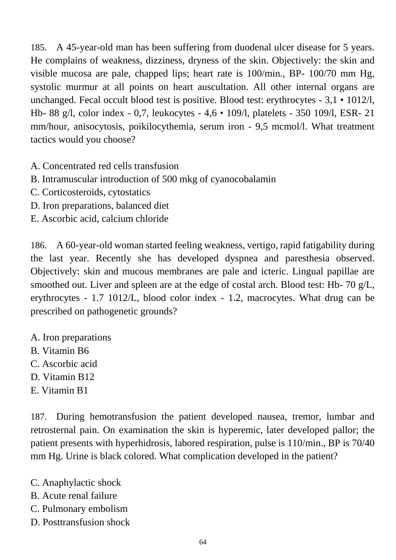185. A 45-year-old man has been suffering from duodenal ulcer disease for 5 years. He complains of weakness, dizziness, dryness of the skin. Objectively: the skin and visible mucosa are pale, chapped lips; heart rate is 100/min., BP- 100/70 mm Hg, systolic murmur at all points on heart auscultation. All other internal organs are unchanged. Fecal occult blood test is positive. Blood test: erythrocytes - 3,1 • 1012/l, Hb- 88 g/l, color index - 0,7, leukocytes - 4,6 • 109/l, platelets - 350 109/l, ESR- 21 mm/hour, anisocytosis, poikilocythemia, serum iron - 9,5 mcmol/l. What treatment tactics would you choose?

- A. Concentrated red cells transfusion
- B. Intramuscular introduction of 500 mkg of cyanocobalamin
- C. Corticosteroids, cytostatics
- D. Iron preparations, balanced diet
- E. Ascorbic acid, calcium chloride

186. A 60-year-old woman started feeling weakness, vertigo, rapid fatigability during the last year. Recently she has developed dyspnea and paresthesia observed. Objectively: skin and mucous membranes are pale and icteric. Lingual papillae are smoothed out. Liver and spleen are at the edge of costal arch. Blood test: Hb- 70 g/L, erythrocytes - 1.7 1012/L, blood color index - 1.2, macrocytes. What drug can be prescribed on pathogenetic grounds?

- A. Iron preparations
- B. Vitamin B6
- C. Ascorbic acid
- D. Vitamin B12
- E. Vitamin B1

187. During hemotransfusion the patient developed nausea, tremor, lumbar and retrosternal pain. On examination the skin is hyperemic, later developed pallor; the patient presents with hyperhidrosis, labored respiration, pulse is 110/min., BP is 70/40 mm Hg. Urine is black colored. What complication developed in the patient?

- C. Anaphylactic shock
- B. Acute renal failure
- C. Pulmonary embolism
- D. Posttransfusion shock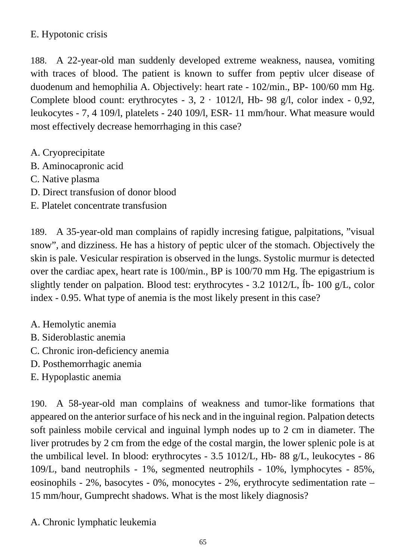## E. Hypotonic crisis

188. A 22-year-old man suddenly developed extreme weakness, nausea, vomiting with traces of blood. The patient is known to suffer from peptiv ulcer disease of duodenum and hemophilia A. Objectively: heart rate - 102/min., BP- 100/60 mm Hg. Complete blood count: erythrocytes - 3,  $2 \cdot 1012/1$ , Hb- 98 g/l, color index - 0,92, leukocytes - 7, 4 109/l, platelets - 240 109/l, ESR- 11 mm/hour. What measure would most effectively decrease hemorrhaging in this case?

- A. Cryoprecipitate
- B. Aminocapronic acid
- C. Native plasma
- D. Direct transfusion of donor blood
- E. Platelet concentrate transfusion

189. A 35-year-old man complains of rapidly incresing fatigue, palpitations, "visual snow", and dizziness. He has a history of peptic ulcer of the stomach. Objectively the skin is pale. Vesicular respiration is observed in the lungs. Systolic murmur is detected over the cardiac apex, heart rate is 100/min., BP is 100/70 mm Hg. The epigastrium is slightly tender on palpation. Blood test: erythrocytes - 3.2 1012/L, Íb- 100 g/L, color index - 0.95. What type of anemia is the most likely present in this case?

- A. Hemolytic anemia
- B. Sideroblastic anemia
- C. Chronic iron-deficiency anemia
- D. Posthemorrhagic anemia
- E. Hypoplastic anemia

190. A 58-year-old man complains of weakness and tumor-like formations that appeared on the anterior surface of his neck and in the inguinal region. Palpation detects soft painless mobile cervical and inguinal lymph nodes up to 2 cm in diameter. The liver protrudes by 2 cm from the edge of the costal margin, the lower splenic pole is at the umbilical level. In blood: erythrocytes - 3.5 1012/L, Hb- 88 g/L, leukocytes - 86 109/L, band neutrophils - 1%, segmented neutrophils - 10%, lymphocytes - 85%, eosinophils - 2%, basocytes - 0%, monocytes - 2%, erythrocyte sedimentation rate – 15 mm/hour, Gumprecht shadows. What is the most likely diagnosis?

A. Chronic lymphatic leukemia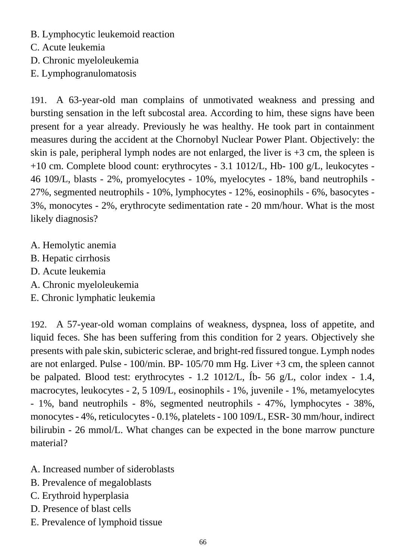- B. Lymphocytic leukemoid reaction
- C. Acute leukemia
- D. Chronic myeloleukemia
- E. Lymphogranulomatosis

191. A 63-year-old man complains of unmotivated weakness and pressing and bursting sensation in the left subcostal area. According to him, these signs have been present for a year already. Previously he was healthy. He took part in containment measures during the accident at the Chornobyl Nuclear Power Plant. Objectively: the skin is pale, peripheral lymph nodes are not enlarged, the liver is  $+3$  cm, the spleen is +10 cm. Complete blood count: erythrocytes - 3.1 1012/L, Hb- 100 g/L, leukocytes - 46 109/L, blasts - 2%, promyelocytes - 10%, myelocytes - 18%, band neutrophils - 27%, segmented neutrophils - 10%, lymphocytes - 12%, eosinophils - 6%, basocytes - 3%, monocytes - 2%, erythrocyte sedimentation rate - 20 mm/hour. What is the most likely diagnosis?

- A. Hemolytic anemia
- B. Hepatic cirrhosis
- D. Acute leukemia
- A. Chronic myeloleukemia
- E. Chronic lymphatic leukemia

192. A 57-year-old woman complains of weakness, dyspnea, loss of appetite, and liquid feces. She has been suffering from this condition for 2 years. Objectively she presents with pale skin, subicteric sclerae, and bright-red fissured tongue. Lymph nodes are not enlarged. Pulse - 100/min. BP- 105/70 mm Hg. Liver +3 cm, the spleen cannot be palpated. Blood test: erythrocytes - 1.2 1012/L, Íb- 56 g/L, color index - 1.4, macrocytes, leukocytes - 2, 5 109/L, eosinophils - 1%, juvenile - 1%, metamyelocytes - 1%, band neutrophils - 8%, segmented neutrophils - 47%, lymphocytes - 38%, monocytes - 4%, reticulocytes - 0.1%, platelets - 100 109/L, ESR- 30 mm/hour, indirect bilirubin - 26 mmol/L. What changes can be expected in the bone marrow puncture material?

- A. Increased number of sideroblasts
- B. Prevalence of megaloblasts
- C. Erythroid hyperplasia
- D. Presence of blast cells
- E. Prevalence of lymphoid tissue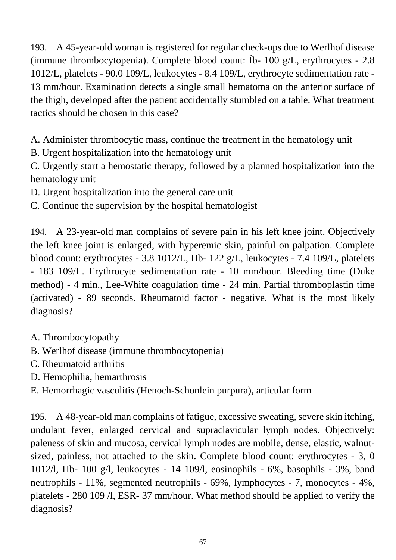193. A 45-year-old woman is registered for regular check-ups due to Werlhof disease (immune thrombocytopenia). Complete blood count: Íb- 100 g/L, erythrocytes - 2.8 1012/L, platelets - 90.0 109/L, leukocytes - 8.4 109/L, erythrocyte sedimentation rate - 13 mm/hour. Examination detects a single small hematoma on the anterior surface of the thigh, developed after the patient accidentally stumbled on a table. What treatment tactics should be chosen in this case?

A. Administer thrombocytic mass, continue the treatment in the hematology unit

B. Urgent hospitalization into the hematology unit

C. Urgently start a hemostatic therapy, followed by a planned hospitalization into the hematology unit

D. Urgent hospitalization into the general care unit

C. Continue the supervision by the hospital hematologist

194. A 23-year-old man complains of severe pain in his left knee joint. Objectively the left knee joint is enlarged, with hyperemic skin, painful on palpation. Complete blood count: erythrocytes - 3.8 1012/L, Hb- 122 g/L, leukocytes - 7.4 109/L, platelets - 183 109/L. Erythrocyte sedimentation rate - 10 mm/hour. Bleeding time (Duke method) - 4 min., Lee-White coagulation time - 24 min. Partial thromboplastin time (activated) - 89 seconds. Rheumatoid factor - negative. What is the most likely diagnosis?

- A. Thrombocytopathy
- B. Werlhof disease (immune thrombocytopenia)
- C. Rheumatoid arthritis
- D. Hemophilia, hemarthrosis
- E. Hemorrhagic vasculitis (Henoch-Schonlein purpura), articular form

195. A 48-year-old man complains of fatigue, excessive sweating, severe skin itching, undulant fever, enlarged cervical and supraclavicular lymph nodes. Objectively: paleness of skin and mucosa, cervical lymph nodes are mobile, dense, elastic, walnutsized, painless, not attached to the skin. Complete blood count: erythrocytes - 3, 0 1012/l, Hb- 100 g/l, leukocytes - 14 109/l, eosinophils - 6%, basophils - 3%, band neutrophils - 11%, segmented neutrophils - 69%, lymphocytes - 7, monocytes - 4%, platelets - 280 109 /l, ESR- 37 mm/hour. What method should be applied to verify the diagnosis?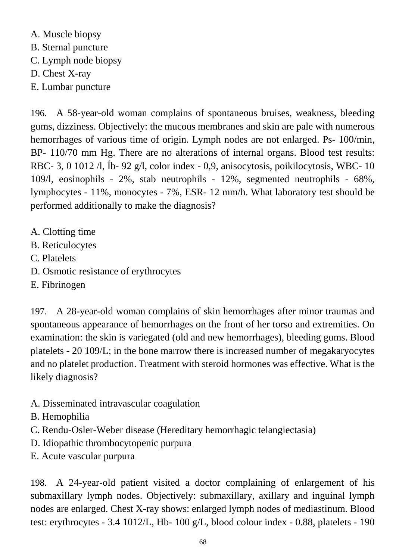A. Muscle biopsy B. Sternal puncture C. Lymph node biopsy D. Chest X-ray E. Lumbar puncture

196. A 58-year-old woman complains of spontaneous bruises, weakness, bleeding gums, dizziness. Objectively: the mucous membranes and skin are pale with numerous hemorrhages of various time of origin. Lymph nodes are not enlarged. Ps- 100/min, BP- 110/70 mm Hg. There are no alterations of internal organs. Blood test results: RBC- 3, 0 1012 /l, Íb- 92 g/l, color index - 0,9, anisocytosis, poikilocytosis, WBC- 10 109/l, eosinophils - 2%, stab neutrophils - 12%, segmented neutrophils - 68%, lymphocytes - 11%, monocytes - 7%, ESR- 12 mm/h. What laboratory test should be performed additionally to make the diagnosis?

- A. Clotting time
- B. Reticulocytes
- C. Platelets
- D. Osmotic resistance of erythrocytes
- E. Fibrinogen

197. A 28-year-old woman complains of skin hemorrhages after minor traumas and spontaneous appearance of hemorrhages on the front of her torso and extremities. On examination: the skin is variegated (old and new hemorrhages), bleeding gums. Blood platelets - 20 109/L; in the bone marrow there is increased number of megakaryocytes and no platelet production. Treatment with steroid hormones was effective. What is the likely diagnosis?

- A. Disseminated intravascular coagulation
- B. Hemophilia
- C. Rendu-Osler-Weber disease (Hereditary hemorrhagic telangiectasia)
- D. Idiopathic thrombocytopenic purpura
- E. Acute vascular purpura

198. A 24-year-old patient visited a doctor complaining of enlargement of his submaxillary lymph nodes. Objectively: submaxillary, axillary and inguinal lymph nodes are enlarged. Chest X-ray shows: enlarged lymph nodes of mediastinum. Blood test: erythrocytes - 3.4 1012/L, Hb- 100 g/L, blood colour index - 0.88, platelets - 190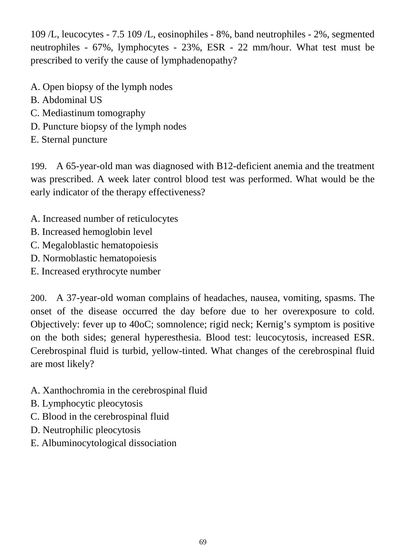109 /L, leucocytes - 7.5 109 /L, eosinophiles - 8%, band neutrophiles - 2%, segmented neutrophiles - 67%, lymphocytes - 23%, ESR - 22 mm/hour. What test must be prescribed to verify the cause of lymphadenopathy?

- A. Open biopsy of the lymph nodes
- B. Abdominal US
- C. Mediastinum tomography
- D. Puncture biopsy of the lymph nodes
- E. Sternal puncture

199. A 65-year-old man was diagnosed with B12-deficient anemia and the treatment was prescribed. A week later control blood test was performed. What would be the early indicator of the therapy effectiveness?

- A. Increased number of reticulocytes
- B. Increased hemoglobin level
- C. Megaloblastic hematopoiesis
- D. Normoblastic hematopoiesis
- E. Increased erythrocyte number

200. A 37-year-old woman complains of headaches, nausea, vomiting, spasms. The onset of the disease occurred the day before due to her overexposure to cold. Objectively: fever up to 40oC; somnolence; rigid neck; Kernig's symptom is positive on the both sides; general hyperesthesia. Blood test: leucocytosis, increased ESR. Cerebrospinal fluid is turbid, yellow-tinted. What changes of the cerebrospinal fluid are most likely?

- A. Xanthochromia in the cerebrospinal fluid
- B. Lymphocytic pleocytosis
- C. Blood in the cerebrospinal fluid
- D. Neutrophilic pleocytosis
- E. Albuminocytological dissociation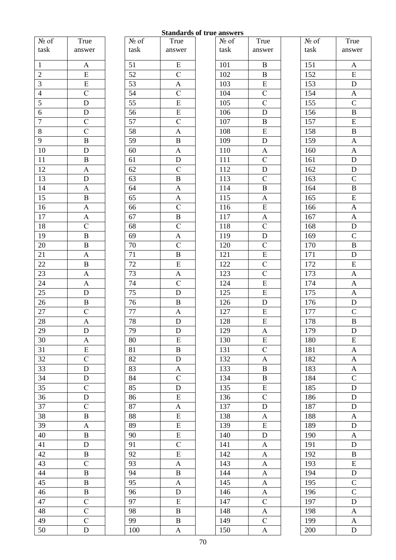#### **Standards of true answers**

True answer

|                |                           |                 |                           | Dianual us vi li ut answels |                           |      |                  |
|----------------|---------------------------|-----------------|---------------------------|-----------------------------|---------------------------|------|------------------|
| № of           | True                      | № of            | True                      | $N_2$ of                    | True                      | № of | Tru              |
| task           | answer                    | task            | answer                    | task                        | answer                    | task | answ             |
| $\mathbf{1}$   | $\mathbf{A}$              | 51              | ${\bf E}$                 | 101                         | $\, {\bf B}$              | 151  | A                |
| $\sqrt{2}$     | ${\bf E}$                 | 52              | $\mathsf C$               | 102                         | $\, {\bf B}$              | 152  | E                |
| $\overline{3}$ | $\overline{E}$            | 53              | $\mathbf A$               | 103                         | $\overline{E}$            | 153  | $\mathbf D$      |
| $\overline{4}$ | $\overline{C}$            | 54              | $\overline{C}$            | 104                         | $\overline{C}$            | 154  | $\boldsymbol{A}$ |
| 5              | ${\bf D}$                 | 55              | ${\bf E}$                 | 105                         | $\mathsf C$               | 155  | $\mathbf C$      |
| $\sqrt{6}$     | ${\bf D}$                 | 56              | ${\bf E}$                 | 106                         | ${\bf D}$                 | 156  | $\bf{B}$         |
| $\overline{7}$ | $\overline{C}$            | $\overline{57}$ | $\overline{C}$            | 107                         | $\overline{B}$            | 157  | $\overline{E}$   |
| $8\,$          | $\mathcal{C}$             | 58              | $\mathbf{A}$              | 108                         | ${\bf E}$                 | 158  | $\bf{B}$         |
| $\overline{9}$ | $\, {\bf B}$              | 59              | $\, {\bf B}$              | 109                         | ${\bf D}$                 | 159  | $\overline{A}$   |
| 10             | ${\bf D}$                 | 60              | A                         | 110                         | $\mathbf{A}$              | 160  | $\boldsymbol{A}$ |
| 11             | $\, {\bf B}$              | 61              | ${\bf D}$                 | 111                         | $\mathbf C$               | 161  | $\mathbf D$      |
| 12             | $\mathbf A$               | 62              | $\mathsf C$               | 112                         | ${\bf D}$                 | 162  | $\mathbf D$      |
| 13             | $\mathbf D$               | 63              | $\, {\bf B}$              | 113                         | $\mathsf C$               | 163  | $\mathsf{C}$     |
| 14             | $\boldsymbol{\mathsf{A}}$ | 64              | $\boldsymbol{\mathsf{A}}$ | 114                         | $\, {\bf B}$              | 164  | $\bf{B}$         |
| 15             | $\, {\bf B}$              | 65              | $\mathbf{A}$              | 115                         | $\mathbf{A}$              | 165  | E                |
| 16             | $\boldsymbol{\mathsf{A}}$ | 66              | $\mathbf C$               | 116                         | ${\bf E}$                 | 166  | $\boldsymbol{A}$ |
| 17             | $\boldsymbol{\mathsf{A}}$ | 67              | $\, {\bf B}$              | 117                         | $\mathbf{A}$              | 167  | $\overline{A}$   |
| 18             | $\overline{C}$            | 68              | $\overline{C}$            | 118                         | $\mathsf C$               | 168  | $\mathbf D$      |
| 19             | $\, {\bf B}$              | 69              | $\boldsymbol{\mathsf{A}}$ | 119                         | $\mathbf D$               | 169  | $\overline{C}$   |
| $20\,$         | $\, {\bf B}$              | 70              | $\overline{C}$            | 120                         | $\mathsf C$               | 170  | $\bf{B}$         |
| 21             | $\mathbf A$               | 71              | $\, {\bf B}$              | 121                         | ${\bf E}$                 | 171  | $\mathbf D$      |
| 22             | $\, {\bf B}$              | 72              | ${\bf E}$                 | 122                         | $\overline{C}$            | 172  | E                |
| 23             | $\boldsymbol{\mathsf{A}}$ | 73              | $\mathbf A$               | 123                         | $\mathcal{C}$             | 173  | $\boldsymbol{A}$ |
| 24             | $\boldsymbol{\mathsf{A}}$ | 74              | $\overline{C}$            | 124                         | $\overline{E}$            | 174  | A                |
| 25             | ${\bf D}$                 | 75              | $\mathbf D$               | 125                         | ${\bf E}$                 | 175  | $\boldsymbol{A}$ |
| 26             | $\, {\bf B}$              | 76              | $\, {\bf B}$              | 126                         | ${\bf D}$                 | 176  | $\mathbf D$      |
| 27             | $\overline{C}$            | 77              | $\boldsymbol{\mathsf{A}}$ | 127                         | ${\bf E}$                 | 177  | $\mathcal{C}$    |
| $28\,$         | $\boldsymbol{\mathsf{A}}$ | 78              | $\mathbf D$               | 128                         | ${\bf E}$                 | 178  | $\bf{B}$         |
| $29\,$         | ${\bf D}$                 | 79              | ${\bf D}$                 | 129                         | $\boldsymbol{\rm{A}}$     | 179  | $\overline{D}$   |
| 30             | A                         | 80              | ${\bf E}$                 | 130                         | ${\bf E}$                 | 180  | E                |
| 31             | ${\bf E}$                 | 81              | $\, {\bf B}$              | 131                         | $\mathsf C$               | 181  | $\overline{A}$   |
| 32             | $\overline{C}$            | 82              | ${\bf D}$                 | 132                         | $\boldsymbol{\mathsf{A}}$ | 182  | $\overline{A}$   |
| 33             | $\mathbf D$               | 83              | $\mathbf A$               | 133                         | $\, {\bf B}$              | 183  | A                |
| 34             | ${\bf D}$                 | 84              | $\mathsf C$               | 134                         | $\, {\bf B}$              | 184  | $\mathbf C$      |
| 35             | $\mathsf C$               | 85              | ${\bf D}$                 | 135                         | ${\bf E}$                 | 185  | $\mathbf D$      |
| 36             | ${\bf D}$                 | 86              | $\overline{\mathrm{E}}$   | 136                         | $\overline{C}$            | 186  | D                |
| 37             | $\mathcal{C}$             | 87              | A                         | 137                         | ${\bf D}$                 | 187  | $\mathbf D$      |
| 38             | $\, {\bf B}$              | 88              | ${\bf E}$                 | 138                         | $\boldsymbol{\mathsf{A}}$ | 188  | A                |
| 39             | $\mathbf A$               | 89              | ${\bf E}$                 | 139                         | E                         | 189  | $\mathbf D$      |
| 40             | $\, {\bf B}$              | 90              | ${\bf E}$                 | 140                         | $\mathbf D$               | 190  | A                |
| 41             | ${\bf D}$                 | 91              | $\mathsf C$               | 141                         | $\mathbf{A}$              | 191  | $\mathbf D$      |
| 42             | $\, {\bf B}$              | 92              | ${\bf E}$                 | 142                         | $\mathbf{A}$              | 192  | $\bf{B}$         |
| 43             | $\mathsf{C}$              | 93              | $\boldsymbol{\mathsf{A}}$ | 143                         | $\mathbf A$               | 193  | E                |
| 44             | $\, {\bf B}$              | 94              | $\, {\bf B}$              | 144                         | $\boldsymbol{\mathsf{A}}$ | 194  | $\mathbf D$      |
| 45             | $\, {\bf B}$              | 95              | $\mathbf A$               | 145                         | $\mathbf A$               | 195  | $\mathsf{C}$     |
| 46             | $\, {\bf B}$              | 96              | ${\bf D}$                 | 146                         | $\mathbf{A}$              | 196  | $\mathsf{C}$     |
| 47             | $\mathcal{C}$             | 97              | ${\bf E}$                 | 147                         | $\mathsf C$               | 197  | $\mathbf D$      |
| 48             | $\overline{C}$            | 98              | $\, {\bf B}$              | 148                         | $\boldsymbol{\mathsf{A}}$ | 198  | $\overline{A}$   |
| 49             | $\overline{C}$            | 99              | $\, {\bf B}$              | 149                         | $\mathsf C$               | 199  | A                |
| 50             | ${\bf D}$                 | 100             | $\mathbf{A}$              | 150                         | $\boldsymbol{\mathsf{A}}$ | 200  | $\mathbf D$      |